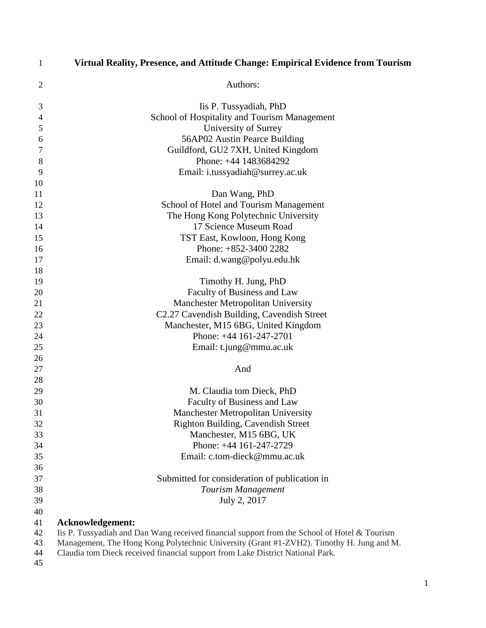| $\mathbf{1}$   | Virtual Reality, Presence, and Attitude Change: Empirical Evidence from Tourism                |
|----------------|------------------------------------------------------------------------------------------------|
| $\overline{2}$ | Authors:                                                                                       |
| 3              | Iis P. Tussyadiah, PhD                                                                         |
| $\overline{4}$ | School of Hospitality and Tourism Management                                                   |
| 5              | University of Surrey                                                                           |
| 6              | 56AP02 Austin Pearce Building                                                                  |
| $\sqrt{ }$     | Guildford, GU2 7XH, United Kingdom                                                             |
| 8              | Phone: +44 1483684292                                                                          |
| 9              | Email: i.tussyadiah@surrey.ac.uk                                                               |
| 10             |                                                                                                |
| 11             | Dan Wang, PhD                                                                                  |
| 12             | School of Hotel and Tourism Management                                                         |
| 13             | The Hong Kong Polytechnic University                                                           |
| 14             | 17 Science Museum Road                                                                         |
| 15             | TST East, Kowloon, Hong Kong                                                                   |
| 16             | Phone: +852-3400 2282                                                                          |
| 17             | Email: d.wang@polyu.edu.hk                                                                     |
| 18             |                                                                                                |
| 19             | Timothy H. Jung, PhD                                                                           |
| 20             | Faculty of Business and Law                                                                    |
| 21             | <b>Manchester Metropolitan University</b>                                                      |
| 22             | C2.27 Cavendish Building, Cavendish Street                                                     |
| 23             | Manchester, M15 6BG, United Kingdom                                                            |
| 24             | Phone: +44 161-247-2701                                                                        |
| 25             | Email: t.jung@mmu.ac.uk                                                                        |
| 26             | And                                                                                            |
| 27<br>28       |                                                                                                |
| 29             | M. Claudia tom Dieck, PhD                                                                      |
| 30             | Faculty of Business and Law                                                                    |
| 31             | <b>Manchester Metropolitan University</b>                                                      |
| 32             | Righton Building, Cavendish Street                                                             |
| 33             | Manchester, M15 6BG, UK                                                                        |
| 34             | Phone: +44 161-247-2729                                                                        |
| 35             | Email: c.tom-dieck@mmu.ac.uk                                                                   |
| 36             |                                                                                                |
| 37             | Submitted for consideration of publication in                                                  |
| 38             | Tourism Management                                                                             |
| 39             | July 2, 2017                                                                                   |
| 40             |                                                                                                |
| 41             | Acknowledgement:                                                                               |
| 42             | Iis P. Tussyadiah and Dan Wang received financial support from the School of Hotel $&$ Tourism |
| 43             | Management, The Hong Kong Polytechnic University (Grant #1-ZVH2). Timothy H. Jung and M.       |
| 44             | Claudia tom Dieck received financial support from Lake District National Park.                 |
| 45             |                                                                                                |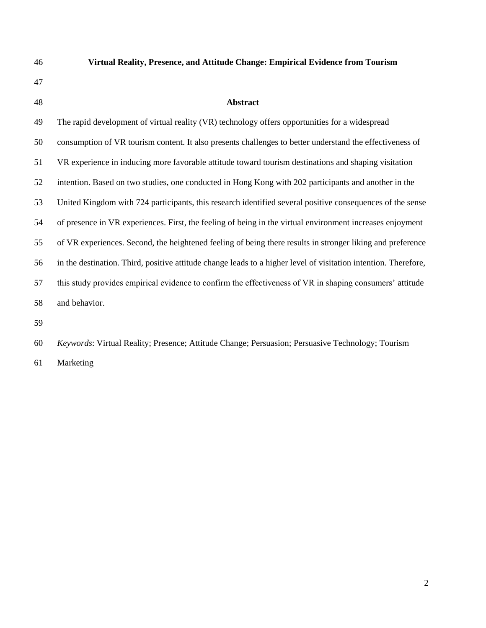- **Virtual Reality, Presence, and Attitude Change: Empirical Evidence from Tourism**
- 

#### **Abstract**

 The rapid development of virtual reality (VR) technology offers opportunities for a widespread consumption of VR tourism content. It also presents challenges to better understand the effectiveness of VR experience in inducing more favorable attitude toward tourism destinations and shaping visitation intention. Based on two studies, one conducted in Hong Kong with 202 participants and another in the United Kingdom with 724 participants, this research identified several positive consequences of the sense of presence in VR experiences. First, the feeling of being in the virtual environment increases enjoyment of VR experiences. Second, the heightened feeling of being there results in stronger liking and preference in the destination. Third, positive attitude change leads to a higher level of visitation intention. Therefore, this study provides empirical evidence to confirm the effectiveness of VR in shaping consumers' attitude and behavior.

*Keywords*: Virtual Reality; Presence; Attitude Change; Persuasion; Persuasive Technology; Tourism

Marketing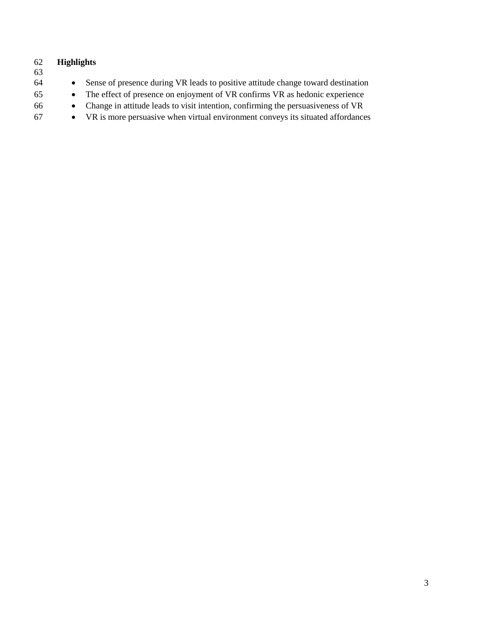| 62<br>63 | <b>Highlights</b> |                                                                                  |
|----------|-------------------|----------------------------------------------------------------------------------|
| 64       | $\bullet$         | Sense of presence during VR leads to positive attitude change toward destination |
| 65       | $\bullet$         | The effect of presence on enjoyment of VR confirms VR as hedonic experience      |
| 66       | $\bullet$         | Change in attitude leads to visit intention, confirming the persuasiveness of VR |
| 67       | $\bullet$         | VR is more persuasive when virtual environment conveys its situated affordances  |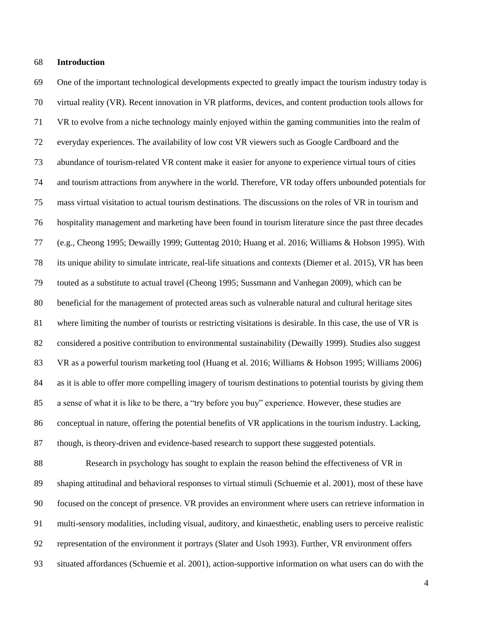#### **Introduction**

 One of the important technological developments expected to greatly impact the tourism industry today is virtual reality (VR). Recent innovation in VR platforms, devices, and content production tools allows for VR to evolve from a niche technology mainly enjoyed within the gaming communities into the realm of everyday experiences. The availability of low cost VR viewers such as Google Cardboard and the abundance of tourism-related VR content make it easier for anyone to experience virtual tours of cities and tourism attractions from anywhere in the world. Therefore, VR today offers unbounded potentials for mass virtual visitation to actual tourism destinations. The discussions on the roles of VR in tourism and hospitality management and marketing have been found in tourism literature since the past three decades (e.g., Cheong 1995; Dewailly 1999; Guttentag 2010; Huang et al. 2016; Williams & Hobson 1995). With its unique ability to simulate intricate, real-life situations and contexts (Diemer et al. 2015), VR has been touted as a substitute to actual travel (Cheong 1995; Sussmann and Vanhegan 2009), which can be beneficial for the management of protected areas such as vulnerable natural and cultural heritage sites where limiting the number of tourists or restricting visitations is desirable. In this case, the use of VR is considered a positive contribution to environmental sustainability (Dewailly 1999). Studies also suggest VR as a powerful tourism marketing tool (Huang et al. 2016; Williams & Hobson 1995; Williams 2006) as it is able to offer more compelling imagery of tourism destinations to potential tourists by giving them a sense of what it is like to be there, a "try before you buy" experience. However, these studies are conceptual in nature, offering the potential benefits of VR applications in the tourism industry. Lacking, though, is theory-driven and evidence-based research to support these suggested potentials.

 Research in psychology has sought to explain the reason behind the effectiveness of VR in shaping attitudinal and behavioral responses to virtual stimuli (Schuemie et al. 2001), most of these have focused on the concept of presence. VR provides an environment where users can retrieve information in multi-sensory modalities, including visual, auditory, and kinaesthetic, enabling users to perceive realistic representation of the environment it portrays (Slater and Usoh 1993). Further, VR environment offers situated affordances (Schuemie et al. 2001), action-supportive information on what users can do with the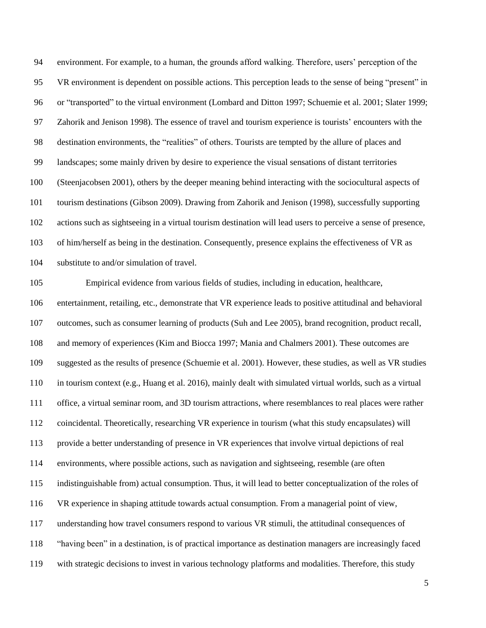environment. For example, to a human, the grounds afford walking. Therefore, users' perception of the VR environment is dependent on possible actions. This perception leads to the sense of being "present" in or "transported" to the virtual environment (Lombard and Ditton 1997; Schuemie et al. 2001; Slater 1999; Zahorik and Jenison 1998). The essence of travel and tourism experience is tourists' encounters with the destination environments, the "realities" of others. Tourists are tempted by the allure of places and landscapes; some mainly driven by desire to experience the visual sensations of distant territories (Steenjacobsen 2001), others by the deeper meaning behind interacting with the sociocultural aspects of tourism destinations (Gibson 2009). Drawing from Zahorik and Jenison (1998), successfully supporting actions such as sightseeing in a virtual tourism destination will lead users to perceive a sense of presence, of him/herself as being in the destination. Consequently, presence explains the effectiveness of VR as substitute to and/or simulation of travel.

 Empirical evidence from various fields of studies, including in education, healthcare, entertainment, retailing, etc., demonstrate that VR experience leads to positive attitudinal and behavioral outcomes, such as consumer learning of products (Suh and Lee 2005), brand recognition, product recall, and memory of experiences (Kim and Biocca 1997; Mania and Chalmers 2001). These outcomes are suggested as the results of presence (Schuemie et al. 2001). However, these studies, as well as VR studies in tourism context (e.g., Huang et al. 2016), mainly dealt with simulated virtual worlds, such as a virtual office, a virtual seminar room, and 3D tourism attractions, where resemblances to real places were rather coincidental. Theoretically, researching VR experience in tourism (what this study encapsulates) will provide a better understanding of presence in VR experiences that involve virtual depictions of real environments, where possible actions, such as navigation and sightseeing, resemble (are often indistinguishable from) actual consumption. Thus, it will lead to better conceptualization of the roles of VR experience in shaping attitude towards actual consumption. From a managerial point of view, understanding how travel consumers respond to various VR stimuli, the attitudinal consequences of "having been" in a destination, is of practical importance as destination managers are increasingly faced with strategic decisions to invest in various technology platforms and modalities. Therefore, this study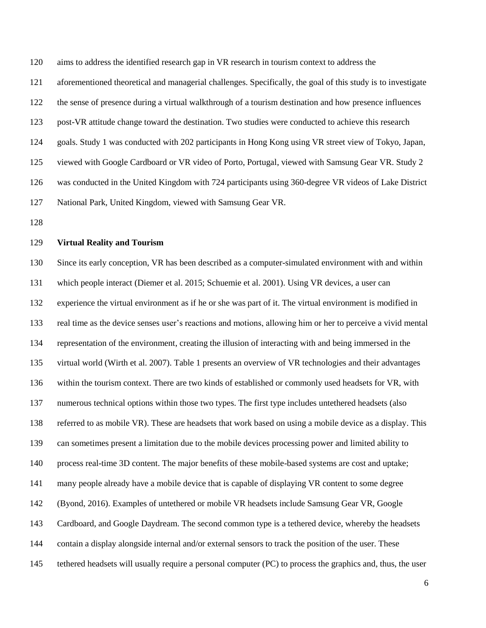aims to address the identified research gap in VR research in tourism context to address the

aforementioned theoretical and managerial challenges. Specifically, the goal of this study is to investigate

the sense of presence during a virtual walkthrough of a tourism destination and how presence influences

post-VR attitude change toward the destination. Two studies were conducted to achieve this research

goals. Study 1 was conducted with 202 participants in Hong Kong using VR street view of Tokyo, Japan,

viewed with Google Cardboard or VR video of Porto, Portugal, viewed with Samsung Gear VR. Study 2

was conducted in the United Kingdom with 724 participants using 360-degree VR videos of Lake District

National Park, United Kingdom, viewed with Samsung Gear VR.

#### **Virtual Reality and Tourism**

 Since its early conception, VR has been described as a computer-simulated environment with and within which people interact (Diemer et al. 2015; Schuemie et al. 2001). Using VR devices, a user can experience the virtual environment as if he or she was part of it. The virtual environment is modified in real time as the device senses user's reactions and motions, allowing him or her to perceive a vivid mental representation of the environment, creating the illusion of interacting with and being immersed in the virtual world (Wirth et al. 2007). Table 1 presents an overview of VR technologies and their advantages within the tourism context. There are two kinds of established or commonly used headsets for VR, with numerous technical options within those two types. The first type includes untethered headsets (also referred to as mobile VR). These are headsets that work based on using a mobile device as a display. This can sometimes present a limitation due to the mobile devices processing power and limited ability to process real-time 3D content. The major benefits of these mobile-based systems are cost and uptake; many people already have a mobile device that is capable of displaying VR content to some degree (Byond, 2016). Examples of untethered or mobile VR headsets include Samsung Gear VR, Google Cardboard, and Google Daydream. The second common type is a tethered device, whereby the headsets contain a display alongside internal and/or external sensors to track the position of the user. These tethered headsets will usually require a personal computer (PC) to process the graphics and, thus, the user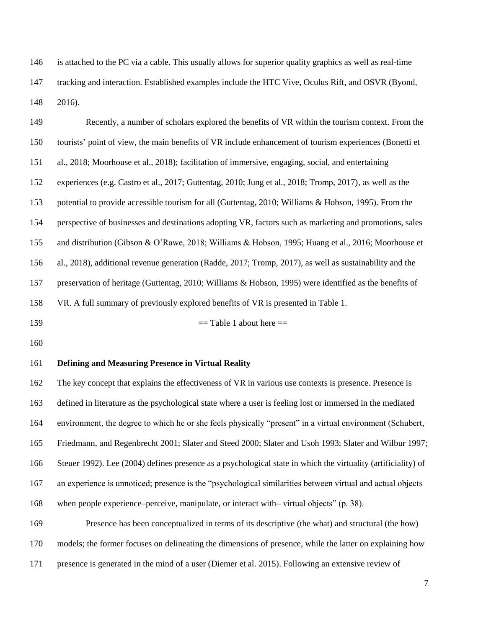is attached to the PC via a cable. This usually allows for superior quality graphics as well as real-time tracking and interaction. Established examples include the HTC Vive, Oculus Rift, and OSVR (Byond, 2016).

 Recently, a number of scholars explored the benefits of VR within the tourism context. From the tourists' point of view, the main benefits of VR include enhancement of tourism experiences (Bonetti et al., 2018; Moorhouse et al., 2018); facilitation of immersive, engaging, social, and entertaining experiences (e.g. Castro et al., 2017; Guttentag, 2010; Jung et al., 2018; Tromp, 2017), as well as the potential to provide accessible tourism for all (Guttentag, 2010; Williams & Hobson, 1995). From the perspective of businesses and destinations adopting VR, factors such as marketing and promotions, sales and distribution (Gibson & O'Rawe, 2018; Williams & Hobson, 1995; Huang et al., 2016; Moorhouse et al., 2018), additional revenue generation (Radde, 2017; Tromp, 2017), as well as sustainability and the preservation of heritage (Guttentag, 2010; Williams & Hobson, 1995) were identified as the benefits of VR. A full summary of previously explored benefits of VR is presented in Table 1.

= Table 1 about here ==

#### **Defining and Measuring Presence in Virtual Reality**

 The key concept that explains the effectiveness of VR in various use contexts is presence. Presence is defined in literature as the psychological state where a user is feeling lost or immersed in the mediated environment, the degree to which he or she feels physically "present" in a virtual environment (Schubert, Friedmann, and Regenbrecht 2001; [Slater and Steed 2000;](http://www.sciencedirect.com/science/article/pii/S000368700200039X#BIB47) Slater and Usoh 1993; Slater and Wilbur 1997; Steuer 1992). Lee (2004) defines presence as a psychological state in which the virtuality (artificiality) of an experience is unnoticed; presence is the "psychological similarities between virtual and actual objects when people experience–perceive, manipulate, or interact with– virtual objects" (p. 38).

 Presence has been conceptualized in terms of its descriptive (the what) and structural (the how) models; the former focuses on delineating the dimensions of presence, while the latter on explaining how

presence is generated in the mind of a user (Diemer et al. 2015). Following an extensive review of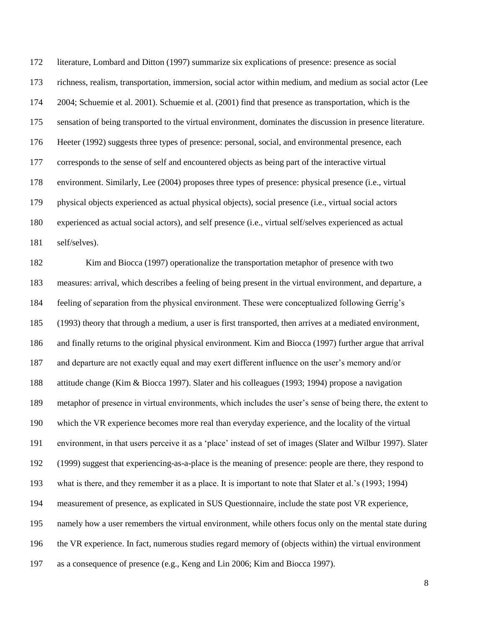literature, Lombard and Ditton (1997) summarize six explications of presence: presence as social richness, realism, transportation, immersion, social actor within medium, and medium as social actor (Lee 2004; Schuemie et al. 2001). Schuemie et al. (2001) find that presence as transportation, which is the sensation of being transported to the virtual environment, dominates the discussion in presence literature. Heeter (1992) suggests three types of presence: personal, social, and environmental presence, each corresponds to the sense of self and encountered objects as being part of the interactive virtual environment. Similarly, Lee (2004) proposes three types of presence: physical presence (i.e., virtual physical objects experienced as actual physical objects), social presence (i.e., virtual social actors experienced as actual social actors), and self presence (i.e., virtual self/selves experienced as actual self/selves).

 Kim and Biocca (1997) operationalize the transportation metaphor of presence with two measures: arrival, which describes a feeling of being present in the virtual environment, and departure, a feeling of separation from the physical environment. These were conceptualized following Gerrig's (1993) theory that through a medium, a user is first transported, then arrives at a mediated environment, and finally returns to the original physical environment. Kim and Biocca (1997) further argue that arrival and departure are not exactly equal and may exert different influence on the user's memory and/or attitude change (Kim & Biocca 1997). Slater and his colleagues (1993; 1994) propose a navigation metaphor of presence in virtual environments, which includes the user's sense of being there, the extent to which the VR experience becomes more real than everyday experience, and the locality of the virtual environment, in that users perceive it as a 'place' instead of set of images (Slater and Wilbur 1997). Slater (1999) suggest that experiencing-as-a-place is the meaning of presence: people are there, they respond to what is there, and they remember it as a place. It is important to note that Slater et al.'s (1993; 1994) measurement of presence, as explicated in SUS Questionnaire, include the state post VR experience, namely how a user remembers the virtual environment, while others focus only on the mental state during the VR experience. In fact, numerous studies regard memory of (objects within) the virtual environment as a consequence of presence (e.g., Keng and Lin 2006; Kim and Biocca 1997).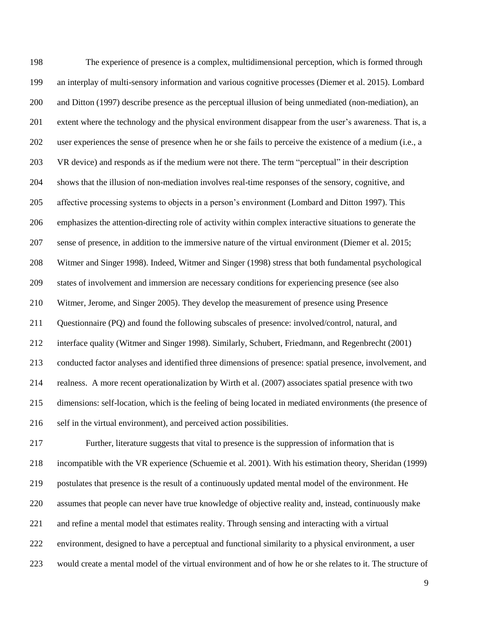The experience of presence is a complex, multidimensional perception, which is formed through an interplay of multi-sensory information and various cognitive processes (Diemer et al. 2015). Lombard and Ditton (1997) describe presence as the perceptual illusion of being unmediated (non-mediation), an extent where the technology and the physical environment disappear from the user's awareness. That is, a user experiences the sense of presence when he or she fails to perceive the existence of a medium (i.e., a VR device) and responds as if the medium were not there. The term "perceptual" in their description shows that the illusion of non-mediation involves real-time responses of the sensory, cognitive, and affective processing systems to objects in a person's environment (Lombard and Ditton 1997). This emphasizes the attention-directing role of activity within complex interactive situations to generate the sense of presence, in addition to the immersive nature of the virtual environment (Diemer et al. 2015; Witmer and Singer 1998). Indeed, [Witmer and Singer \(1998\)](http://www.sciencedirect.com/science/article/pii/S000368700200039X#BIB46) stress that both fundamental psychological states of involvement and immersion are necessary conditions for experiencing presence (see also Witmer, Jerome, and Singer 2005). They develop the measurement of presence using Presence Questionnaire (PQ) and found the following subscales of presence: involved/control, natural, and interface quality (Witmer and Singer 1998). Similarly, Schubert, Friedmann, and Regenbrecht (2001) conducted factor analyses and identified three dimensions of presence: spatial presence, involvement, and realness. A more recent operationalization by Wirth et al. (2007) associates spatial presence with two dimensions: self-location, which is the feeling of being located in mediated environments (the presence of self in the virtual environment), and perceived action possibilities. Further, literature suggests that vital to presence is the suppression of information that is

 incompatible with the VR experience (Schuemie et al. 2001). With his estimation theory, Sheridan (1999) postulates that presence is the result of a continuously updated mental model of the environment. He assumes that people can never have true knowledge of objective reality and, instead, continuously make and refine a mental model that estimates reality. Through sensing and interacting with a virtual environment, designed to have a perceptual and functional similarity to a physical environment, a user would create a mental model of the virtual environment and of how he or she relates to it. The structure of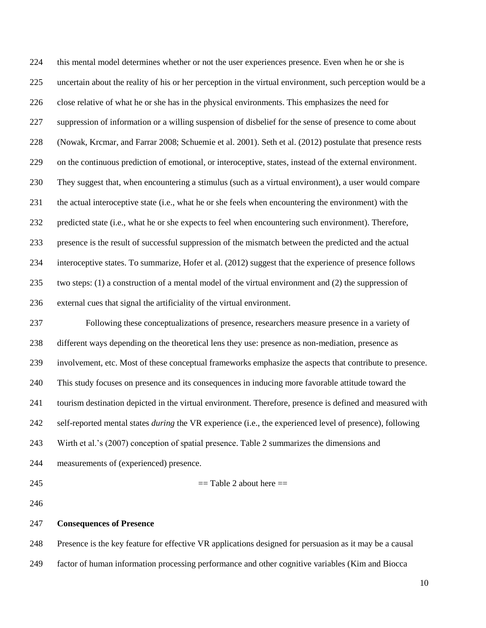this mental model determines whether or not the user experiences presence. Even when he or she is uncertain about the reality of his or her perception in the virtual environment, such perception would be a close relative of what he or she has in the physical environments. This emphasizes the need for suppression of information or a willing suspension of disbelief for the sense of presence to come about (Nowak, Krcmar, and Farrar 2008; Schuemie et al. 2001). Seth et al. (2012) postulate that presence rests on the continuous prediction of emotional, or interoceptive, states, instead of the external environment. They suggest that, when encountering a stimulus (such as a virtual environment), a user would compare the actual interoceptive state (i.e., what he or she feels when encountering the environment) with the predicted state (i.e., what he or she expects to feel when encountering such environment). Therefore, presence is the result of successful suppression of the mismatch between the predicted and the actual interoceptive states. To summarize, Hofer et al. (2012) suggest that the experience of presence follows two steps: (1) a construction of a mental model of the virtual environment and (2) the suppression of external cues that signal the artificiality of the virtual environment.

 Following these conceptualizations of presence, researchers measure presence in a variety of different ways depending on the theoretical lens they use: presence as non-mediation, presence as involvement, etc. Most of these conceptual frameworks emphasize the aspects that contribute to presence. This study focuses on presence and its consequences in inducing more favorable attitude toward the tourism destination depicted in the virtual environment. Therefore, presence is defined and measured with self-reported mental states *during* the VR experience (i.e., the experienced level of presence), following Wirth et al.'s (2007) conception of spatial presence. Table 2 summarizes the dimensions and measurements of (experienced) presence.

#### $=$  Table 2 about here  $=$

#### **Consequences of Presence**

Presence is the key feature for effective VR applications designed for persuasion as it may be a causal

factor of human information processing performance and other cognitive variables (Kim and Biocca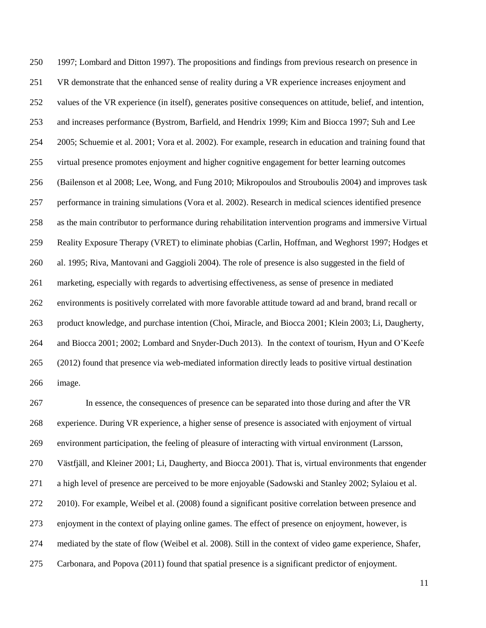1997; Lombard and Ditton 1997). The propositions and findings from previous research on presence in VR demonstrate that the enhanced sense of reality during a VR experience increases enjoyment and values of the VR experience (in itself), generates positive consequences on attitude, belief, and intention, and increases performance (Bystrom, Barfield, and Hendrix 1999; Kim and Biocca 1997; Suh and Lee 2005; Schuemie et al. 2001; Vora et al. 2002). For example, research in education and training found that virtual presence promotes enjoyment and higher cognitive engagement for better learning outcomes (Bailenson et al 2008; Lee, Wong, and Fung 2010; Mikropoulos and Strouboulis 2004) and improves task performance in training simulations (Vora et al. 2002). Research in medical sciences identified presence as the main contributor to performance during rehabilitation intervention programs and immersive Virtual Reality Exposure Therapy (VRET) to eliminate phobias (Carlin, Hoffman, and Weghorst 1997; Hodges et al. 1995; Riva, Mantovani and Gaggioli 2004). The role of presence is also suggested in the field of marketing, especially with regards to advertising effectiveness, as sense of presence in mediated environments is positively correlated with more favorable attitude toward ad and brand, brand recall or product knowledge, and purchase intention (Choi, Miracle, and Biocca 2001; Klein 2003; Li, Daugherty, and Biocca 2001; 2002; Lombard and Snyder-Duch 2013). In the context of tourism, Hyun and O'Keefe (2012) found that presence via web-mediated information directly leads to positive virtual destination image.

 In essence, the consequences of presence can be separated into those during and after the VR experience. During VR experience, a higher sense of presence is associated with enjoyment of virtual environment participation, the feeling of pleasure of interacting with virtual environment (Larsson, Västfjäll, and Kleiner 2001; Li, Daugherty, and Biocca 2001). That is, virtual environments that engender a high level of presence are perceived to be more enjoyable (Sadowski and Stanley 2002; Sylaiou et al. 2010). For example, Weibel et al. (2008) found a significant positive correlation between presence and enjoyment in the context of playing online games. The effect of presence on enjoyment, however, is mediated by the state of flow (Weibel et al. 2008). Still in the context of video game experience, Shafer, Carbonara, and Popova (2011) found that spatial presence is a significant predictor of enjoyment.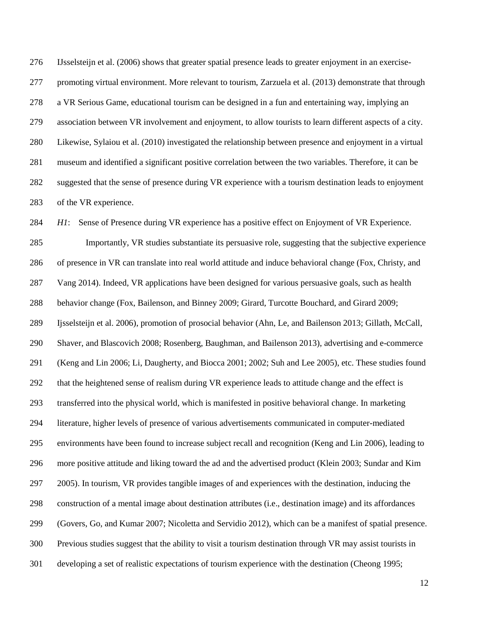IJsselsteijn et al. (2006) shows that greater spatial presence leads to greater enjoyment in an exercise- promoting virtual environment. More relevant to tourism, Zarzuela et al. (2013) demonstrate that through a VR Serious Game, educational tourism can be designed in a fun and entertaining way, implying an association between VR involvement and enjoyment, to allow tourists to learn different aspects of a city. Likewise, Sylaiou et al. (2010) investigated the relationship between presence and enjoyment in a virtual museum and identified a significant positive correlation between the two variables. Therefore, it can be suggested that the sense of presence during VR experience with a tourism destination leads to enjoyment of the VR experience.

 *H1*: Sense of Presence during VR experience has a positive effect on Enjoyment of VR Experience. Importantly, VR studies substantiate its persuasive role, suggesting that the subjective experience of presence in VR can translate into real world attitude and induce behavioral change (Fox, Christy, and Vang 2014). Indeed, VR applications have been designed for various persuasive goals, such as health behavior change (Fox, Bailenson, and Binney 2009; Girard, Turcotte Bouchard, and Girard 2009; Ijsselsteijn et al. 2006), promotion of prosocial behavior (Ahn, Le, and Bailenson 2013; Gillath, McCall, Shaver, and Blascovich 2008; Rosenberg, Baughman, and Bailenson 2013), advertising and e-commerce (Keng and Lin 2006; Li, Daugherty, and Biocca 2001; 2002; Suh and Lee 2005), etc. These studies found that the heightened sense of realism during VR experience leads to attitude change and the effect is transferred into the physical world, which is manifested in positive behavioral change. In marketing literature, higher levels of presence of various advertisements communicated in computer-mediated environments have been found to increase subject recall and recognition (Keng and Lin 2006), leading to more positive attitude and liking toward the ad and the advertised product (Klein 2003; Sundar and Kim 2005). In tourism, VR provides tangible images of and experiences with the destination, inducing the construction of a mental image about destination attributes (i.e., destination image) and its affordances (Govers, Go, and Kumar 2007; Nicoletta and Servidio 2012), which can be a manifest of spatial presence. Previous studies suggest that the ability to visit a tourism destination through VR may assist tourists in developing a set of realistic expectations of tourism experience with the destination (Cheong 1995;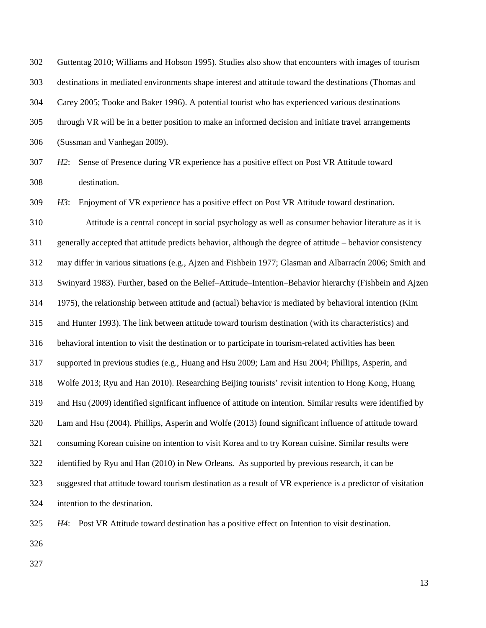Guttentag 2010; Williams and Hobson 1995). Studies also show that encounters with images of tourism destinations in mediated environments shape interest and attitude toward the destinations (Thomas and Carey 2005; Tooke and Baker 1996). A potential tourist who has experienced various destinations through VR will be in a better position to make an informed decision and initiate travel arrangements (Sussman and Vanhegan 2009).

 *H2*: Sense of Presence during VR experience has a positive effect on Post VR Attitude toward destination.

*H3*: Enjoyment of VR experience has a positive effect on Post VR Attitude toward destination.

 Attitude is a central concept in social psychology as well as consumer behavior literature as it is generally accepted that attitude predicts behavior, although the degree of attitude – behavior consistency may differ in various situations (e.g., Ajzen and Fishbein 1977; Glasman and Albarracín 2006; Smith and Swinyard 1983). Further, based on the Belief–Attitude–Intention–Behavior hierarchy (Fishbein and Ajzen 1975), the relationship between attitude and (actual) behavior is mediated by behavioral intention (Kim and Hunter 1993). The link between attitude toward tourism destination (with its characteristics) and behavioral intention to visit the destination or to participate in tourism-related activities has been supported in previous studies (e.g., Huang and Hsu 2009; Lam and Hsu 2004; Phillips, Asperin, and Wolfe 2013; Ryu and Han 2010). Researching Beijing tourists' revisit intention to Hong Kong, Huang and Hsu (2009) identified significant influence of attitude on intention. Similar results were identified by Lam and Hsu (2004). Phillips, Asperin and Wolfe (2013) found significant influence of attitude toward consuming Korean cuisine on intention to visit Korea and to try Korean cuisine. Similar results were identified by Ryu and Han (2010) in New Orleans. As supported by previous research, it can be suggested that attitude toward tourism destination as a result of VR experience is a predictor of visitation intention to the destination.

*H4*: Post VR Attitude toward destination has a positive effect on Intention to visit destination.

- 
-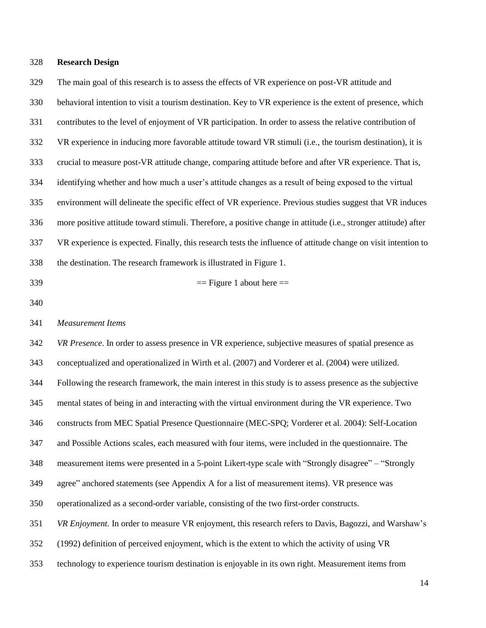#### **Research Design**

 The main goal of this research is to assess the effects of VR experience on post-VR attitude and behavioral intention to visit a tourism destination. Key to VR experience is the extent of presence, which contributes to the level of enjoyment of VR participation. In order to assess the relative contribution of VR experience in inducing more favorable attitude toward VR stimuli (i.e., the tourism destination), it is crucial to measure post-VR attitude change, comparing attitude before and after VR experience. That is, identifying whether and how much a user's attitude changes as a result of being exposed to the virtual environment will delineate the specific effect of VR experience. Previous studies suggest that VR induces more positive attitude toward stimuli. Therefore, a positive change in attitude (i.e., stronger attitude) after VR experience is expected. Finally, this research tests the influence of attitude change on visit intention to the destination. The research framework is illustrated in Figure 1.

$$
= \text{Figure 1 about here} =
$$

#### *Measurement Items*

 *VR Presence*. In order to assess presence in VR experience, subjective measures of spatial presence as conceptualized and operationalized in Wirth et al. (2007) and Vorderer et al. (2004) were utilized. Following the research framework, the main interest in this study is to assess presence as the subjective mental states of being in and interacting with the virtual environment during the VR experience. Two constructs from MEC Spatial Presence Questionnaire (MEC-SPQ; Vorderer et al. 2004): Self-Location and Possible Actions scales, each measured with four items, were included in the questionnaire. The measurement items were presented in a 5-point Likert-type scale with "Strongly disagree" – "Strongly agree" anchored statements (see Appendix A for a list of measurement items). VR presence was operationalized as a second-order variable, consisting of the two first-order constructs. *VR Enjoyment.* In order to measure VR enjoyment, this research refers to Davis, Bagozzi, and Warshaw's (1992) definition of perceived enjoyment, which is the extent to which the activity of using VR

technology to experience tourism destination is enjoyable in its own right. Measurement items from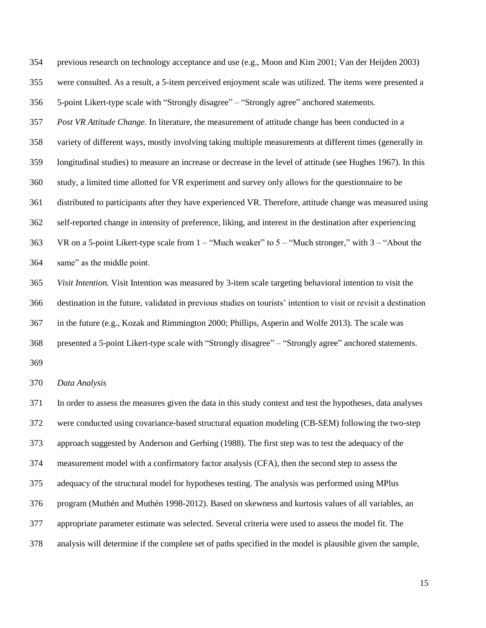previous research on technology acceptance and use (e.g., Moon and Kim 2001; Van der Heijden 2003) were consulted. As a result, a 5-item perceived enjoyment scale was utilized. The items were presented a 5-point Likert-type scale with "Strongly disagree" – "Strongly agree" anchored statements. *Post VR Attitude Change.* In literature, the measurement of attitude change has been conducted in a variety of different ways, mostly involving taking multiple measurements at different times (generally in longitudinal studies) to measure an increase or decrease in the level of attitude (see Hughes 1967). In this study, a limited time allotted for VR experiment and survey only allows for the questionnaire to be distributed to participants after they have experienced VR. Therefore, attitude change was measured using self-reported change in intensity of preference, liking, and interest in the destination after experiencing VR on a 5-point Likert-type scale from 1 – "Much weaker" to 5 – "Much stronger," with 3 – "About the same" as the middle point. *Visit Intention.* Visit Intention was measured by 3-item scale targeting behavioral intention to visit the destination in the future, validated in previous studies on tourists' intention to visit or revisit a destination in the future (e.g., Kozak and Rimmington 2000; Phillips, Asperin and Wolfe 2013). The scale was presented a 5-point Likert-type scale with "Strongly disagree" – "Strongly agree" anchored statements. *Data Analysis*  In order to assess the measures given the data in this study context and test the hypotheses, data analyses were conducted using covariance-based structural equation modeling (CB-SEM) following the two-step approach suggested by Anderson and Gerbing (1988). The first step was to test the adequacy of the measurement model with a confirmatory factor analysis (CFA), then the second step to assess the adequacy of the structural model for hypotheses testing. The analysis was performed using MPlus program (Muthén and Muthén 1998-2012). Based on skewness and kurtosis values of all variables, an appropriate parameter estimate was selected. Several criteria were used to assess the model fit. The

analysis will determine if the complete set of paths specified in the model is plausible given the sample,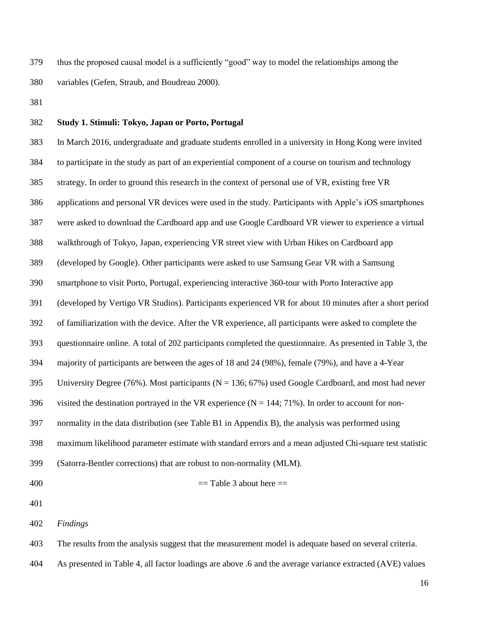thus the proposed causal model is a sufficiently "good" way to model the relationships among the variables (Gefen, Straub, and Boudreau 2000).

#### **Study 1. Stimuli: Tokyo, Japan or Porto, Portugal**

 In March 2016, undergraduate and graduate students enrolled in a university in Hong Kong were invited to participate in the study as part of an experiential component of a course on tourism and technology strategy. In order to ground this research in the context of personal use of VR, existing free VR applications and personal VR devices were used in the study. Participants with Apple's iOS smartphones were asked to download the Cardboard app and use Google Cardboard VR viewer to experience a virtual walkthrough of Tokyo, Japan, experiencing VR street view with Urban Hikes on Cardboard app (developed by Google). Other participants were asked to use Samsung Gear VR with a Samsung smartphone to visit Porto, Portugal, experiencing interactive 360-tour with Porto Interactive app (developed by Vertigo VR Studios). Participants experienced VR for about 10 minutes after a short period of familiarization with the device. After the VR experience, all participants were asked to complete the questionnaire online. A total of 202 participants completed the questionnaire. As presented in Table 3, the majority of participants are between the ages of 18 and 24 (98%), female (79%), and have a 4-Year 395 University Degree (76%). Most participants ( $N = 136$ ; 67%) used Google Cardboard, and most had never 396 visited the destination portrayed in the VR experience ( $N = 144$ ; 71%). In order to account for non- normality in the data distribution (see Table B1 in Appendix B), the analysis was performed using maximum likelihood parameter estimate with standard errors and a mean adjusted Chi-square test statistic (Satorra-Bentler corrections) that are robust to non-normality (MLM). = Table 3 about here ==

*Findings*

The results from the analysis suggest that the measurement model is adequate based on several criteria.

As presented in Table 4, all factor loadings are above .6 and the average variance extracted (AVE) values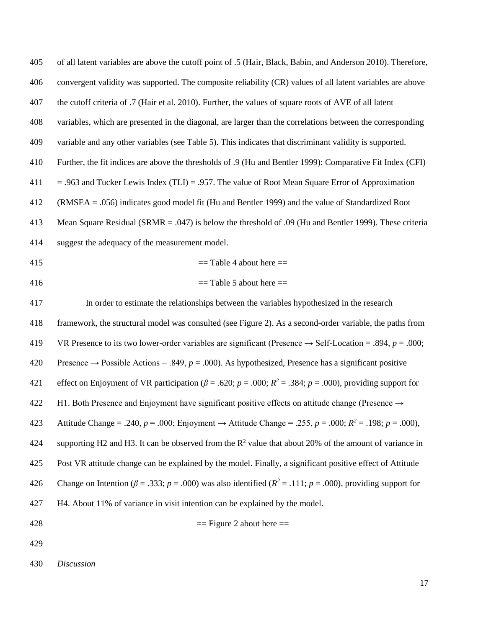| 405 | of all latent variables are above the cutoff point of .5 (Hair, Black, Babin, and Anderson 2010). Therefore,                |
|-----|-----------------------------------------------------------------------------------------------------------------------------|
| 406 | convergent validity was supported. The composite reliability (CR) values of all latent variables are above                  |
| 407 | the cutoff criteria of .7 (Hair et al. 2010). Further, the values of square roots of AVE of all latent                      |
| 408 | variables, which are presented in the diagonal, are larger than the correlations between the corresponding                  |
| 409 | variable and any other variables (see Table 5). This indicates that discriminant validity is supported.                     |
| 410 | Further, the fit indices are above the thresholds of .9 (Hu and Bentler 1999): Comparative Fit Index (CFI)                  |
| 411 | $=$ .963 and Tucker Lewis Index (TLI) = .957. The value of Root Mean Square Error of Approximation                          |
| 412 | (RMSEA = .056) indicates good model fit (Hu and Bentler 1999) and the value of Standardized Root                            |
| 413 | Mean Square Residual (SRMR = .047) is below the threshold of .09 (Hu and Bentler 1999). These criteria                      |
| 414 | suggest the adequacy of the measurement model.                                                                              |
| 415 | $==$ Table 4 about here $==$                                                                                                |
| 416 | $==$ Table 5 about here $==$                                                                                                |
| 417 | In order to estimate the relationships between the variables hypothesized in the research                                   |
| 418 | framework, the structural model was consulted (see Figure 2). As a second-order variable, the paths from                    |
| 419 | VR Presence to its two lower-order variables are significant (Presence $\rightarrow$ Self-Location = .894, $p = .000$ ;     |
| 420 | Presence $\rightarrow$ Possible Actions = .849, p = .000). As hypothesized, Presence has a significant positive             |
| 421 | effect on Enjoyment of VR participation ( $\beta$ = .620; p = .000; R <sup>2</sup> = .384; p = .000), providing support for |
| 422 | H1. Both Presence and Enjoyment have significant positive effects on attitude change (Presence $\rightarrow$                |
| 423 | Attitude Change = .240, $p = .000$ ; Enjoyment → Attitude Change = .255, $p = .000$ ; $R^2 = .198$ ; $p = .000$ ),          |
| 424 | supporting H2 and H3. It can be observed from the $\mathbb{R}^2$ value that about 20% of the amount of variance in          |
| 425 | Post VR attitude change can be explained by the model. Finally, a significant positive effect of Attitude                   |
| 426 | Change on Intention ( $\beta$ = .333; p = .000) was also identified ( $R^2$ = .111; p = .000), providing support for        |
| 427 | H4. About 11% of variance in visit intention can be explained by the model.                                                 |
| 428 | $==$ Figure 2 about here $==$                                                                                               |
| 429 |                                                                                                                             |

*Discussion*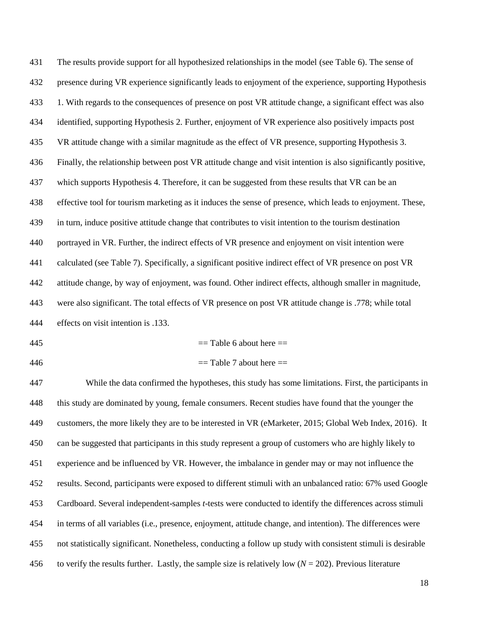| 431 | The results provide support for all hypothesized relationships in the model (see Table 6). The sense of       |
|-----|---------------------------------------------------------------------------------------------------------------|
| 432 | presence during VR experience significantly leads to enjoyment of the experience, supporting Hypothesis       |
| 433 | 1. With regards to the consequences of presence on post VR attitude change, a significant effect was also     |
| 434 | identified, supporting Hypothesis 2. Further, enjoyment of VR experience also positively impacts post         |
| 435 | VR attitude change with a similar magnitude as the effect of VR presence, supporting Hypothesis 3.            |
| 436 | Finally, the relationship between post VR attitude change and visit intention is also significantly positive, |
| 437 | which supports Hypothesis 4. Therefore, it can be suggested from these results that VR can be an              |
| 438 | effective tool for tourism marketing as it induces the sense of presence, which leads to enjoyment. These,    |
| 439 | in turn, induce positive attitude change that contributes to visit intention to the tourism destination       |
| 440 | portrayed in VR. Further, the indirect effects of VR presence and enjoyment on visit intention were           |
| 441 | calculated (see Table 7). Specifically, a significant positive indirect effect of VR presence on post VR      |
| 442 | attitude change, by way of enjoyment, was found. Other indirect effects, although smaller in magnitude,       |
| 443 | were also significant. The total effects of VR presence on post VR attitude change is .778; while total       |
| 444 | effects on visit intention is .133.                                                                           |
| 445 | $==$ Table 6 about here $==$                                                                                  |

 $=$  Table 7 about here  $=$ 

 While the data confirmed the hypotheses, this study has some limitations. First, the participants in this study are dominated by young, female consumers. Recent studies have found that the younger the customers, the more likely they are to be interested in VR (eMarketer, 2015; Global Web Index, 2016). It can be suggested that participants in this study represent a group of customers who are highly likely to experience and be influenced by VR. However, the imbalance in gender may or may not influence the results. Second, participants were exposed to different stimuli with an unbalanced ratio: 67% used Google Cardboard. Several independent-samples *t*-tests were conducted to identify the differences across stimuli in terms of all variables (i.e., presence, enjoyment, attitude change, and intention). The differences were not statistically significant. Nonetheless, conducting a follow up study with consistent stimuli is desirable 456 to verify the results further. Lastly, the sample size is relatively low  $(N = 202)$ . Previous literature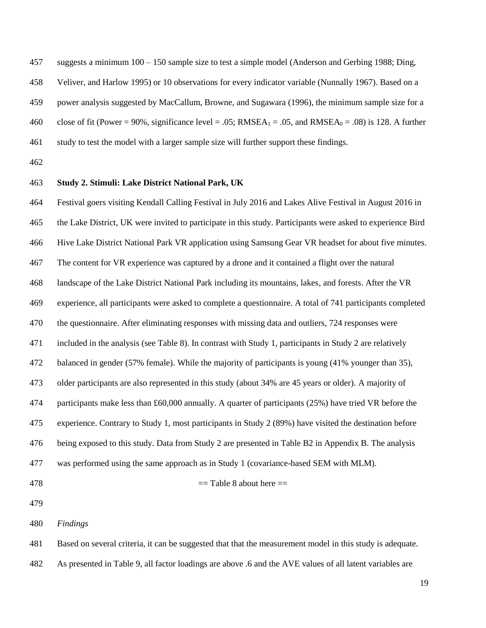suggests a minimum 100 – 150 sample size to test a simple model (Anderson and Gerbing 1988; Ding,

Veliver, and Harlow 1995) or 10 observations for every indicator variable (Nunnally 1967). Based on a

power analysis suggested by MacCallum, Browne, and Sugawara (1996), the minimum sample size for a

460 close of fit (Power = 90%, significance level = .05; RMSEA<sub>1</sub> = .05, and RMSEA<sub>0</sub> = .08) is 128. A further

- study to test the model with a larger sample size will further support these findings.
- 

### **Study 2. Stimuli: Lake District National Park, UK**

 Festival goers visiting Kendall Calling Festival in July 2016 and Lakes Alive Festival in August 2016 in the Lake District, UK were invited to participate in this study. Participants were asked to experience Bird Hive Lake District National Park VR application using Samsung Gear VR headset for about five minutes. The content for VR experience was captured by a drone and it contained a flight over the natural landscape of the Lake District National Park including its mountains, lakes, and forests. After the VR experience, all participants were asked to complete a questionnaire. A total of 741 participants completed the questionnaire. After eliminating responses with missing data and outliers, 724 responses were included in the analysis (see Table 8). In contrast with Study 1, participants in Study 2 are relatively balanced in gender (57% female). While the majority of participants is young (41% younger than 35), older participants are also represented in this study (about 34% are 45 years or older). A majority of participants make less than £60,000 annually. A quarter of participants (25%) have tried VR before the experience. Contrary to Study 1, most participants in Study 2 (89%) have visited the destination before being exposed to this study. Data from Study 2 are presented in Table B2 in Appendix B. The analysis was performed using the same approach as in Study 1 (covariance-based SEM with MLM).

 $=$  Table 8 about here  $=$ 

*Findings*

Based on several criteria, it can be suggested that that the measurement model in this study is adequate.

As presented in Table 9, all factor loadings are above .6 and the AVE values of all latent variables are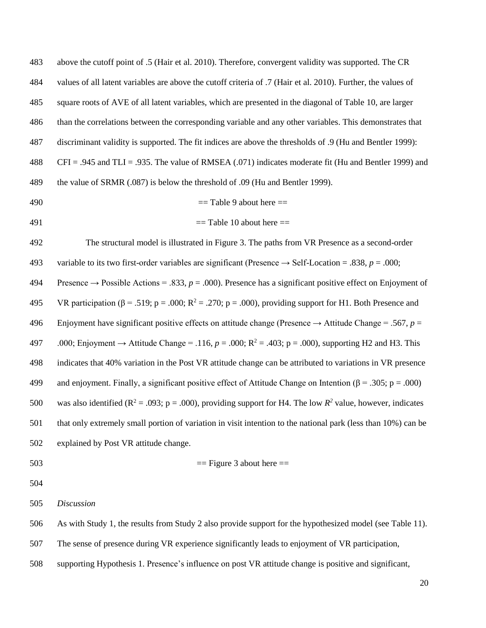| 483 | above the cutoff point of .5 (Hair et al. 2010). Therefore, convergent validity was supported. The CR                      |
|-----|----------------------------------------------------------------------------------------------------------------------------|
| 484 | values of all latent variables are above the cutoff criteria of .7 (Hair et al. 2010). Further, the values of              |
| 485 | square roots of AVE of all latent variables, which are presented in the diagonal of Table 10, are larger                   |
| 486 | than the correlations between the corresponding variable and any other variables. This demonstrates that                   |
| 487 | discriminant validity is supported. The fit indices are above the thresholds of .9 (Hu and Bentler 1999):                  |
| 488 | $CFI = .945$ and $TLI = .935$ . The value of RMSEA (.071) indicates moderate fit (Hu and Bentler 1999) and                 |
| 489 | the value of SRMR (.087) is below the threshold of .09 (Hu and Bentler 1999).                                              |
| 490 | $==$ Table 9 about here $==$                                                                                               |
| 491 | $==$ Table 10 about here $==$                                                                                              |
| 492 | The structural model is illustrated in Figure 3. The paths from VR Presence as a second-order                              |
| 493 | variable to its two first-order variables are significant (Presence $\rightarrow$ Self-Location = .838, p = .000;          |
| 494 | Presence $\rightarrow$ Possible Actions = .833, $p = .000$ ). Presence has a significant positive effect on Enjoyment of   |
| 495 | VR participation ( $\beta$ = .519; p = .000; R <sup>2</sup> = .270; p = .000), providing support for H1. Both Presence and |
| 496 | Enjoyment have significant positive effects on attitude change (Presence $\rightarrow$ Attitude Change = .567, p =         |
| 497 | .000; Enjoyment $\rightarrow$ Attitude Change = .116, $p = .000$ ; $R^2 = .403$ ; $p = .000$ ), supporting H2 and H3. This |
| 498 | indicates that 40% variation in the Post VR attitude change can be attributed to variations in VR presence                 |
| 499 | and enjoyment. Finally, a significant positive effect of Attitude Change on Intention ( $\beta$ = .305; p = .000)          |
| 500 | was also identified ( $R^2$ = .093; p = .000), providing support for H4. The low $R^2$ value, however, indicates           |
| 501 | that only extremely small portion of variation in visit intention to the national park (less than 10%) can be              |
| 502 | explained by Post VR attitude change.                                                                                      |
| 503 | $==$ Figure 3 about here $==$                                                                                              |
| 504 |                                                                                                                            |
| 505 | <b>Discussion</b>                                                                                                          |
| 506 | As with Study 1, the results from Study 2 also provide support for the hypothesized model (see Table 11).                  |
| 507 | The sense of presence during VR experience significantly leads to enjoyment of VR participation,                           |

supporting Hypothesis 1. Presence's influence on post VR attitude change is positive and significant,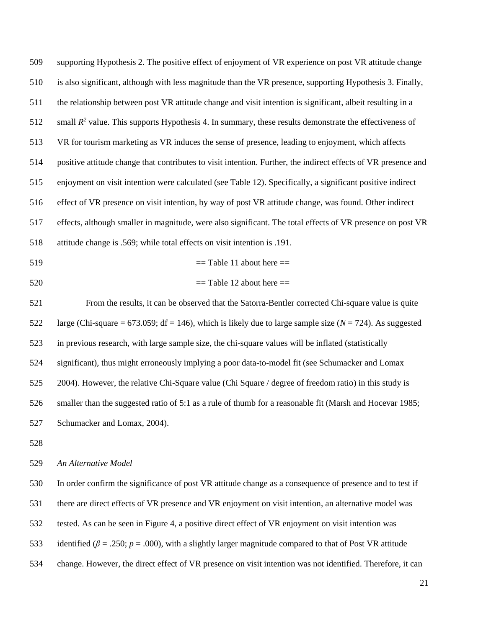supporting Hypothesis 2. The positive effect of enjoyment of VR experience on post VR attitude change is also significant, although with less magnitude than the VR presence, supporting Hypothesis 3. Finally, the relationship between post VR attitude change and visit intention is significant, albeit resulting in a 512 small  $R^2$  value. This supports Hypothesis 4. In summary, these results demonstrate the effectiveness of VR for tourism marketing as VR induces the sense of presence, leading to enjoyment, which affects positive attitude change that contributes to visit intention. Further, the indirect effects of VR presence and enjoyment on visit intention were calculated (see Table 12). Specifically, a significant positive indirect effect of VR presence on visit intention, by way of post VR attitude change, was found. Other indirect effects, although smaller in magnitude, were also significant. The total effects of VR presence on post VR attitude change is .569; while total effects on visit intention is .191.

- $=$  Table 11 about here  $=$
- $\equiv$  Table 12 about here  $\equiv$

 From the results, it can be observed that the Satorra-Bentler corrected Chi-square value is quite 522 large (Chi-square = 673.059; df = 146), which is likely due to large sample size ( $N = 724$ ). As suggested in previous research, with large sample size, the chi-square values will be inflated (statistically significant), thus might erroneously implying a poor data-to-model fit (see Schumacker and Lomax 2004). However, the relative Chi-Square value (Chi Square / degree of freedom ratio) in this study is smaller than the suggested ratio of 5:1 as a rule of thumb for a reasonable fit (Marsh and Hocevar 1985; Schumacker and Lomax, 2004).

#### *An Alternative Model*

 In order confirm the significance of post VR attitude change as a consequence of presence and to test if there are direct effects of VR presence and VR enjoyment on visit intention, an alternative model was tested. As can be seen in Figure 4, a positive direct effect of VR enjoyment on visit intention was 533 identified ( $\beta$  = .250;  $p$  = .000), with a slightly larger magnitude compared to that of Post VR attitude

change. However, the direct effect of VR presence on visit intention was not identified. Therefore, it can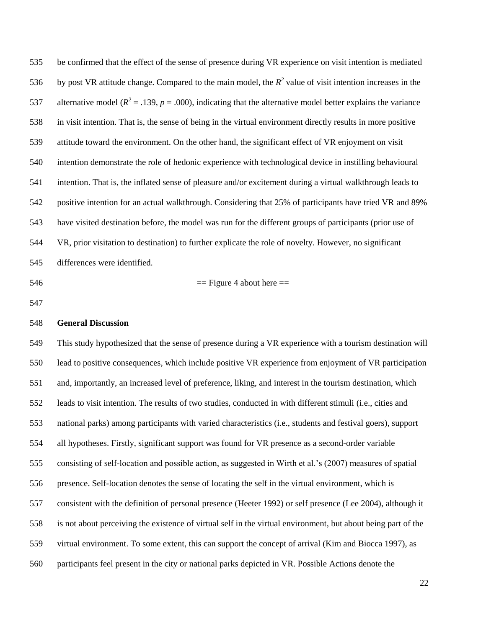be confirmed that the effect of the sense of presence during VR experience on visit intention is mediated 536 by post VR attitude change. Compared to the main model, the  $R^2$  value of visit intention increases in the 537 alternative model ( $R^2 = .139$ ,  $p = .000$ ), indicating that the alternative model better explains the variance in visit intention. That is, the sense of being in the virtual environment directly results in more positive attitude toward the environment. On the other hand, the significant effect of VR enjoyment on visit intention demonstrate the role of hedonic experience with technological device in instilling behavioural intention. That is, the inflated sense of pleasure and/or excitement during a virtual walkthrough leads to positive intention for an actual walkthrough. Considering that 25% of participants have tried VR and 89% have visited destination before, the model was run for the different groups of participants (prior use of VR, prior visitation to destination) to further explicate the role of novelty. However, no significant differences were identified.

 $\equiv$  Figure 4 about here  $\equiv$ 

#### **General Discussion**

 This study hypothesized that the sense of presence during a VR experience with a tourism destination will lead to positive consequences, which include positive VR experience from enjoyment of VR participation and, importantly, an increased level of preference, liking, and interest in the tourism destination, which leads to visit intention. The results of two studies, conducted in with different stimuli (i.e., cities and national parks) among participants with varied characteristics (i.e., students and festival goers), support all hypotheses. Firstly, significant support was found for VR presence as a second-order variable consisting of self-location and possible action, as suggested in Wirth et al.'s (2007) measures of spatial presence. Self-location denotes the sense of locating the self in the virtual environment, which is consistent with the definition of personal presence (Heeter 1992) or self presence (Lee 2004), although it is not about perceiving the existence of virtual self in the virtual environment, but about being part of the virtual environment. To some extent, this can support the concept of arrival (Kim and Biocca 1997), as participants feel present in the city or national parks depicted in VR. Possible Actions denote the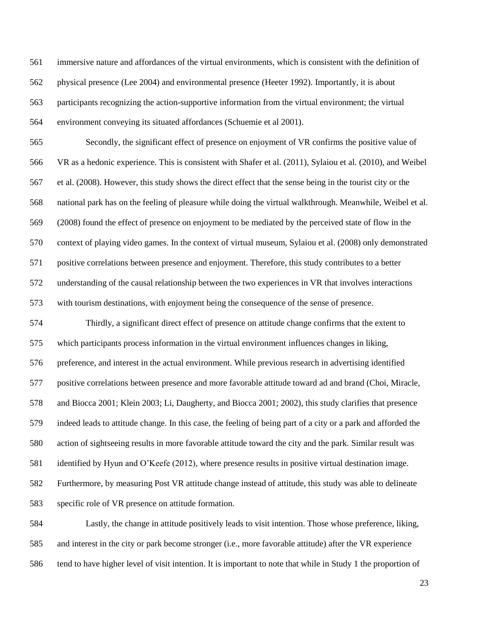immersive nature and affordances of the virtual environments, which is consistent with the definition of physical presence (Lee 2004) and environmental presence (Heeter 1992). Importantly, it is about participants recognizing the action-supportive information from the virtual environment; the virtual environment conveying its situated affordances (Schuemie et al 2001).

 Secondly, the significant effect of presence on enjoyment of VR confirms the positive value of VR as a hedonic experience. This is consistent with Shafer et al. (2011), Sylaiou et al. (2010), and Weibel et al. (2008). However, this study shows the direct effect that the sense being in the tourist city or the national park has on the feeling of pleasure while doing the virtual walkthrough. Meanwhile, Weibel et al. (2008) found the effect of presence on enjoyment to be mediated by the perceived state of flow in the context of playing video games. In the context of virtual museum, Sylaiou et al. (2008) only demonstrated positive correlations between presence and enjoyment. Therefore, this study contributes to a better understanding of the causal relationship between the two experiences in VR that involves interactions with tourism destinations, with enjoyment being the consequence of the sense of presence.

 Thirdly, a significant direct effect of presence on attitude change confirms that the extent to which participants process information in the virtual environment influences changes in liking, preference, and interest in the actual environment. While previous research in advertising identified positive correlations between presence and more favorable attitude toward ad and brand (Choi, Miracle, and Biocca 2001; Klein 2003; Li, Daugherty, and Biocca 2001; 2002), this study clarifies that presence indeed leads to attitude change. In this case, the feeling of being part of a city or a park and afforded the action of sightseeing results in more favorable attitude toward the city and the park. Similar result was identified by Hyun and O'Keefe (2012), where presence results in positive virtual destination image. Furthermore, by measuring Post VR attitude change instead of attitude, this study was able to delineate specific role of VR presence on attitude formation.

 Lastly, the change in attitude positively leads to visit intention. Those whose preference, liking, and interest in the city or park become stronger (i.e., more favorable attitude) after the VR experience tend to have higher level of visit intention. It is important to note that while in Study 1 the proportion of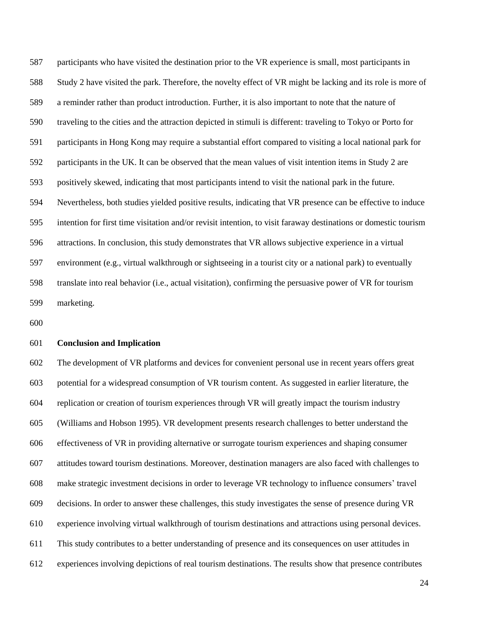participants who have visited the destination prior to the VR experience is small, most participants in Study 2 have visited the park. Therefore, the novelty effect of VR might be lacking and its role is more of a reminder rather than product introduction. Further, it is also important to note that the nature of traveling to the cities and the attraction depicted in stimuli is different: traveling to Tokyo or Porto for participants in Hong Kong may require a substantial effort compared to visiting a local national park for participants in the UK. It can be observed that the mean values of visit intention items in Study 2 are positively skewed, indicating that most participants intend to visit the national park in the future. Nevertheless, both studies yielded positive results, indicating that VR presence can be effective to induce intention for first time visitation and/or revisit intention, to visit faraway destinations or domestic tourism attractions. In conclusion, this study demonstrates that VR allows subjective experience in a virtual environment (e.g., virtual walkthrough or sightseeing in a tourist city or a national park) to eventually translate into real behavior (i.e., actual visitation), confirming the persuasive power of VR for tourism marketing.

#### **Conclusion and Implication**

 The development of VR platforms and devices for convenient personal use in recent years offers great potential for a widespread consumption of VR tourism content. As suggested in earlier literature, the replication or creation of tourism experiences through VR will greatly impact the tourism industry (Williams and Hobson 1995). VR development presents research challenges to better understand the effectiveness of VR in providing alternative or surrogate tourism experiences and shaping consumer attitudes toward tourism destinations. Moreover, destination managers are also faced with challenges to make strategic investment decisions in order to leverage VR technology to influence consumers' travel decisions. In order to answer these challenges, this study investigates the sense of presence during VR experience involving virtual walkthrough of tourism destinations and attractions using personal devices. This study contributes to a better understanding of presence and its consequences on user attitudes in experiences involving depictions of real tourism destinations. The results show that presence contributes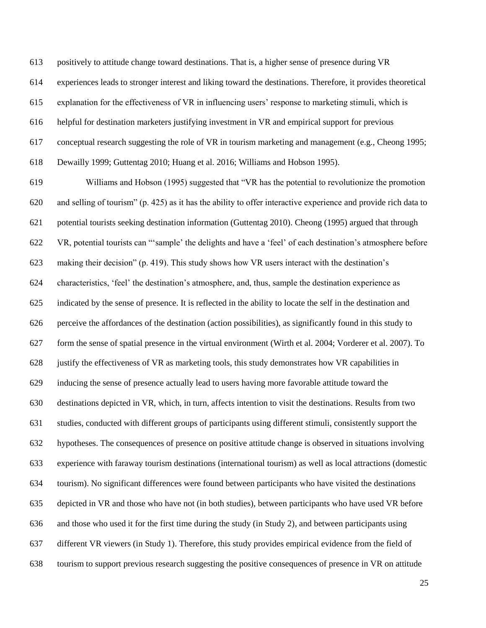positively to attitude change toward destinations. That is, a higher sense of presence during VR

experiences leads to stronger interest and liking toward the destinations. Therefore, it provides theoretical

explanation for the effectiveness of VR in influencing users' response to marketing stimuli, which is

helpful for destination marketers justifying investment in VR and empirical support for previous

conceptual research suggesting the role of VR in tourism marketing and management (e.g., Cheong 1995;

Dewailly 1999; Guttentag 2010; Huang et al. 2016; Williams and Hobson 1995).

 Williams and Hobson (1995) suggested that "VR has the potential to revolutionize the promotion and selling of tourism" (p. 425) as it has the ability to offer interactive experience and provide rich data to potential tourists seeking destination information (Guttentag 2010). Cheong (1995) argued that through VR, potential tourists can "'sample' the delights and have a 'feel' of each destination's atmosphere before making their decision" (p. 419). This study shows how VR users interact with the destination's characteristics, 'feel' the destination's atmosphere, and, thus, sample the destination experience as indicated by the sense of presence. It is reflected in the ability to locate the self in the destination and perceive the affordances of the destination (action possibilities), as significantly found in this study to form the sense of spatial presence in the virtual environment (Wirth et al. 2004; Vorderer et al. 2007). To justify the effectiveness of VR as marketing tools, this study demonstrates how VR capabilities in inducing the sense of presence actually lead to users having more favorable attitude toward the destinations depicted in VR, which, in turn, affects intention to visit the destinations. Results from two studies, conducted with different groups of participants using different stimuli, consistently support the hypotheses. The consequences of presence on positive attitude change is observed in situations involving experience with faraway tourism destinations (international tourism) as well as local attractions (domestic tourism). No significant differences were found between participants who have visited the destinations depicted in VR and those who have not (in both studies), between participants who have used VR before and those who used it for the first time during the study (in Study 2), and between participants using different VR viewers (in Study 1). Therefore, this study provides empirical evidence from the field of tourism to support previous research suggesting the positive consequences of presence in VR on attitude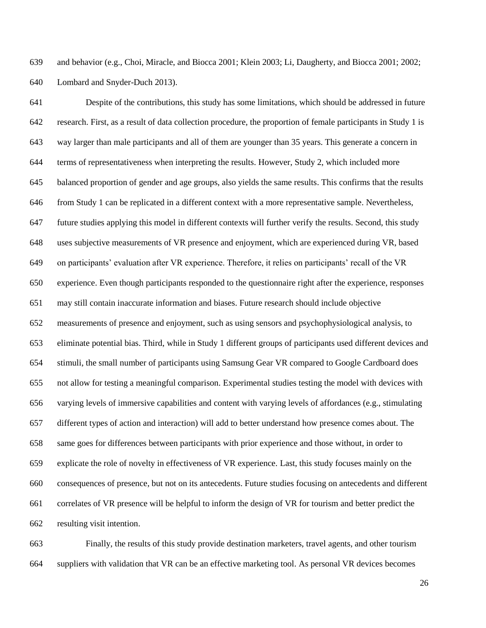and behavior (e.g., Choi, Miracle, and Biocca 2001; Klein 2003; Li, Daugherty, and Biocca 2001; 2002; Lombard and Snyder-Duch 2013).

 Despite of the contributions, this study has some limitations, which should be addressed in future research. First, as a result of data collection procedure, the proportion of female participants in Study 1 is way larger than male participants and all of them are younger than 35 years. This generate a concern in terms of representativeness when interpreting the results. However, Study 2, which included more balanced proportion of gender and age groups, also yields the same results. This confirms that the results from Study 1 can be replicated in a different context with a more representative sample. Nevertheless, future studies applying this model in different contexts will further verify the results. Second, this study uses subjective measurements of VR presence and enjoyment, which are experienced during VR, based on participants' evaluation after VR experience. Therefore, it relies on participants' recall of the VR experience. Even though participants responded to the questionnaire right after the experience, responses may still contain inaccurate information and biases. Future research should include objective measurements of presence and enjoyment, such as using sensors and psychophysiological analysis, to eliminate potential bias. Third, while in Study 1 different groups of participants used different devices and stimuli, the small number of participants using Samsung Gear VR compared to Google Cardboard does not allow for testing a meaningful comparison. Experimental studies testing the model with devices with varying levels of immersive capabilities and content with varying levels of affordances (e.g., stimulating different types of action and interaction) will add to better understand how presence comes about. The same goes for differences between participants with prior experience and those without, in order to explicate the role of novelty in effectiveness of VR experience. Last, this study focuses mainly on the consequences of presence, but not on its antecedents. Future studies focusing on antecedents and different correlates of VR presence will be helpful to inform the design of VR for tourism and better predict the resulting visit intention.

 Finally, the results of this study provide destination marketers, travel agents, and other tourism suppliers with validation that VR can be an effective marketing tool. As personal VR devices becomes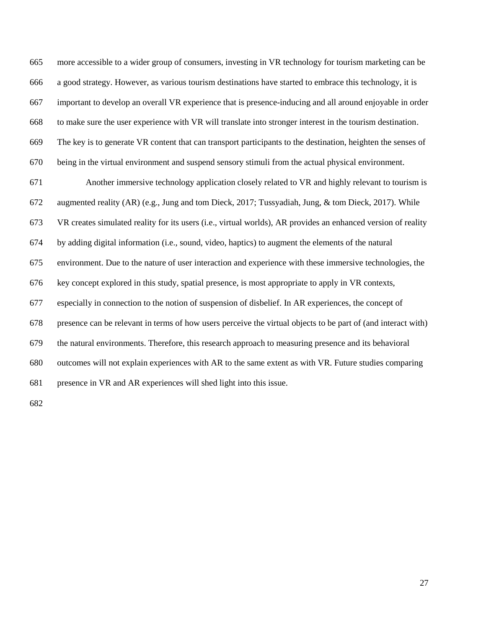more accessible to a wider group of consumers, investing in VR technology for tourism marketing can be a good strategy. However, as various tourism destinations have started to embrace this technology, it is important to develop an overall VR experience that is presence-inducing and all around enjoyable in order to make sure the user experience with VR will translate into stronger interest in the tourism destination. The key is to generate VR content that can transport participants to the destination, heighten the senses of being in the virtual environment and suspend sensory stimuli from the actual physical environment.

 Another immersive technology application closely related to VR and highly relevant to tourism is augmented reality (AR) (e.g., Jung and tom Dieck, 2017; Tussyadiah, Jung, & tom Dieck, 2017). While VR creates simulated reality for its users (i.e., virtual worlds), AR provides an enhanced version of reality by adding digital information (i.e., sound, video, haptics) to augment the elements of the natural environment. Due to the nature of user interaction and experience with these immersive technologies, the key concept explored in this study, spatial presence, is most appropriate to apply in VR contexts, especially in connection to the notion of suspension of disbelief. In AR experiences, the concept of presence can be relevant in terms of how users perceive the virtual objects to be part of (and interact with) the natural environments. Therefore, this research approach to measuring presence and its behavioral outcomes will not explain experiences with AR to the same extent as with VR. Future studies comparing presence in VR and AR experiences will shed light into this issue.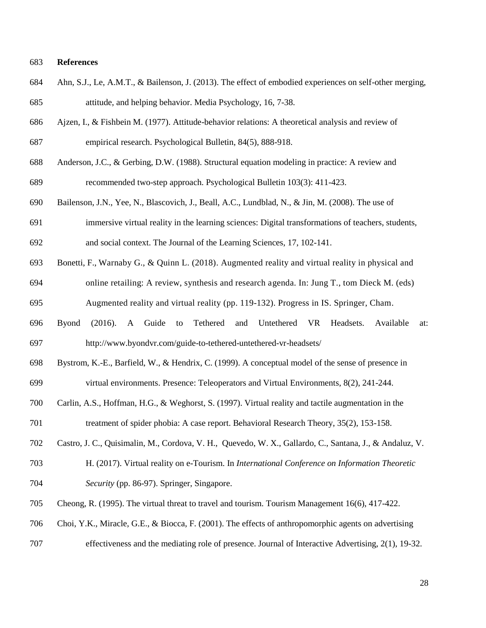#### **References**

- Ahn, S.J., Le, A.M.T., & Bailenson, J. (2013). The effect of embodied experiences on self-other merging, attitude, and helping behavior. Media Psychology, 16, 7-38.
- Ajzen, I., & Fishbein M. (1977). Attitude-behavior relations: A theoretical analysis and review of empirical research. Psychological Bulletin, 84(5), 888-918.
- Anderson, J.C., & Gerbing, D.W. (1988). Structural equation modeling in practice: A review and

recommended two-step approach. Psychological Bulletin 103(3): 411-423.

- Bailenson, J.N., Yee, N., Blascovich, J., Beall, A.C., Lundblad, N., & Jin, M. (2008). The use of
- immersive virtual reality in the learning sciences: Digital transformations of teachers, students,
- and social context. The Journal of the Learning Sciences, 17, 102-141.
- Bonetti, F., Warnaby G., & Quinn L. (2018). Augmented reality and virtual reality in physical and online retailing: A review, synthesis and research agenda. In: Jung T., tom Dieck M. (eds)
- Augmented reality and virtual reality (pp. 119-132). Progress in IS. Springer, Cham.
- Byond (2016). A Guide to Tethered and Untethered VR Headsets. Available at: http://www.byondvr.com/guide-to-tethered-untethered-vr-headsets/
- Bystrom, K.-E., Barfield, W., & Hendrix, C. (1999). A conceptual model of the sense of presence in virtual environments. Presence: Teleoperators and Virtual Environments, 8(2), 241-244.
- Carlin, A.S., Hoffman, H.G., & Weghorst, S. (1997). Virtual reality and tactile augmentation in the treatment of spider phobia: A case report. Behavioral Research Theory, 35(2), 153-158.
- Castro, J. C., Quisimalin, M., Cordova, V. H., Quevedo, W. X., Gallardo, C., Santana, J., & Andaluz, V.
- H. (2017). Virtual reality on e-Tourism. In *International Conference on Information Theoretic Security* (pp. 86-97). Springer, Singapore.
- Cheong, R. (1995). The virtual threat to travel and tourism. Tourism Management 16(6), 417-422.
- Choi, Y.K., Miracle, G.E., & Biocca, F. (2001). The effects of anthropomorphic agents on advertising
- effectiveness and the mediating role of presence. Journal of Interactive Advertising, 2(1), 19-32.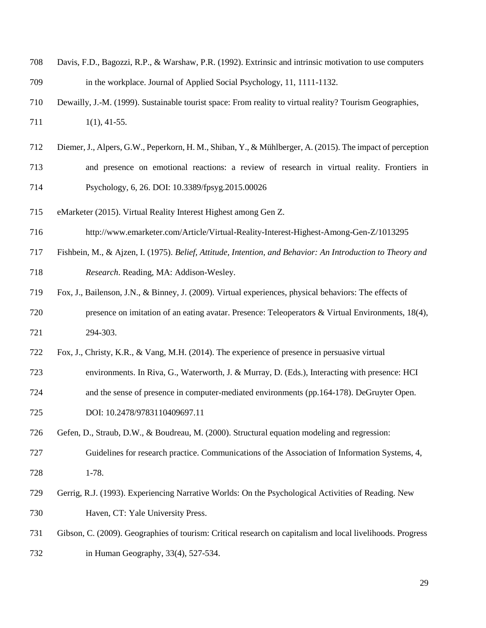| 708 | Davis, F.D., Bagozzi, R.P., & Warshaw, P.R. (1992). Extrinsic and intrinsic motivation to use computers   |
|-----|-----------------------------------------------------------------------------------------------------------|
| 709 | in the workplace. Journal of Applied Social Psychology, 11, 1111-1132.                                    |
| 710 | Dewailly, J.-M. (1999). Sustainable tourist space: From reality to virtual reality? Tourism Geographies,  |
| 711 | $1(1), 41-55.$                                                                                            |
| 712 | Diemer, J., Alpers, G.W., Peperkorn, H. M., Shiban, Y., & Mühlberger, A. (2015). The impact of perception |
| 713 | and presence on emotional reactions: a review of research in virtual reality. Frontiers in                |
| 714 | Psychology, 6, 26. DOI: 10.3389/fpsyg.2015.00026                                                          |
|     |                                                                                                           |

- eMarketer (2015). Virtual Reality Interest Highest among Gen Z.
- http://www.emarketer.com/Article/Virtual-Reality-Interest-Highest-Among-Gen-Z/1013295
- Fishbein, M., & Ajzen, I. (1975). *Belief, Attitude, Intention, and Behavior: An Introduction to Theory and Research*. Reading, MA: Addison-Wesley.
- Fox, J., Bailenson, J.N., & Binney, J. (2009). Virtual experiences, physical behaviors: The effects of presence on imitation of an eating avatar. Presence: Teleoperators & Virtual Environments, 18(4), 294-303.
- Fox, J., Christy, K.R., & Vang, M.H. (2014). The experience of presence in persuasive virtual
- environments. In Riva, G., Waterworth, J. & Murray, D. (Eds.), Interacting with presence: HCI
- and the sense of presence in computer-mediated environments (pp.164-178). DeGruyter Open.

DOI: 10.2478/9783110409697.11

Gefen, D., Straub, D.W., & Boudreau, M. (2000). Structural equation modeling and regression:

- Guidelines for research practice. Communications of the Association of Information Systems, 4, 1-78.
- Gerrig, R.J. (1993). Experiencing Narrative Worlds: On the Psychological Activities of Reading. New Haven, CT: Yale University Press.
- Gibson, C. (2009). Geographies of tourism: Critical research on capitalism and local livelihoods. Progress in Human Geography, 33(4), 527-534.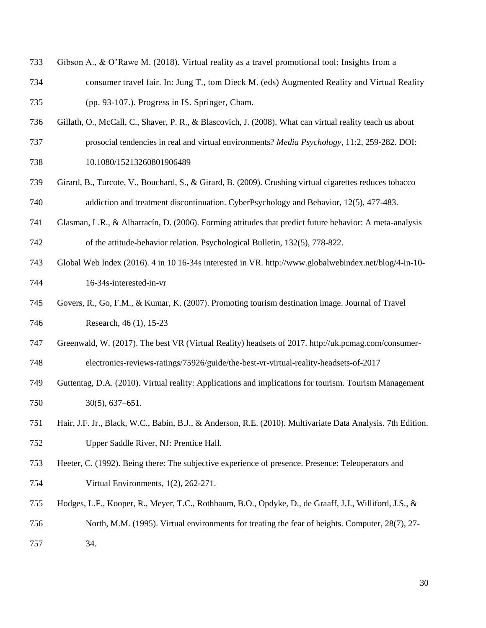- Gibson A., & O'Rawe M. (2018). Virtual reality as a travel promotional tool: Insights from a
- consumer travel fair. In: Jung T., tom Dieck M. (eds) Augmented Reality and Virtual Reality (pp. 93-107.). Progress in IS. Springer, Cham.
- Gillath, O., McCall, C., Shaver, P. R., & Blascovich, J. (2008). What can virtual reality teach us about
- prosocial tendencies in real and virtual environments? *Media Psychology*, 11:2, 259-282. DOI:
- 10.1080/15213260801906489
- Girard, B., Turcote, V., Bouchard, S., & Girard, B. (2009). Crushing virtual cigarettes reduces tobacco addiction and treatment discontinuation. CyberPsychology and Behavior, 12(5), 477-483.
- Glasman, L.R., & Albarracín, D. (2006). Forming attitudes that predict future behavior: A meta-analysis of the attitude-behavior relation. Psychological Bulletin, 132(5), 778-822.
- Global Web Index (2016). 4 in 10 16-34s interested in VR. http://www.globalwebindex.net/blog/4-in-10- 16-34s-interested-in-vr
- Govers, R., Go, F.M., & Kumar, K. (2007). Promoting tourism destination image. Journal of Travel Research, 46 (1), 15-23
- Greenwald, W. (2017). The best VR (Virtual Reality) headsets of 2017. http://uk.pcmag.com/consumer-
- electronics-reviews-ratings/75926/guide/the-best-vr-virtual-reality-headsets-of-2017
- Guttentag, D.A. (2010). Virtual reality: Applications and implications for tourism. Tourism Management 30(5), 637–651.
- Hair, J.F. Jr., Black, W.C., Babin, B.J., & Anderson, R.E. (2010). Multivariate Data Analysis. 7th Edition. Upper Saddle River, NJ: Prentice Hall.
- Heeter, C. (1992). Being there: The subjective experience of presence. Presence: Teleoperators and Virtual Environments, 1(2), 262-271.
- Hodges, L.F., Kooper, R., Meyer, T.C., Rothbaum, B.O., Opdyke, D., de Graaff, J.J., Williford, J.S., &
- North, M.M. (1995). Virtual environments for treating the fear of heights. Computer, 28(7), 27-
- 34.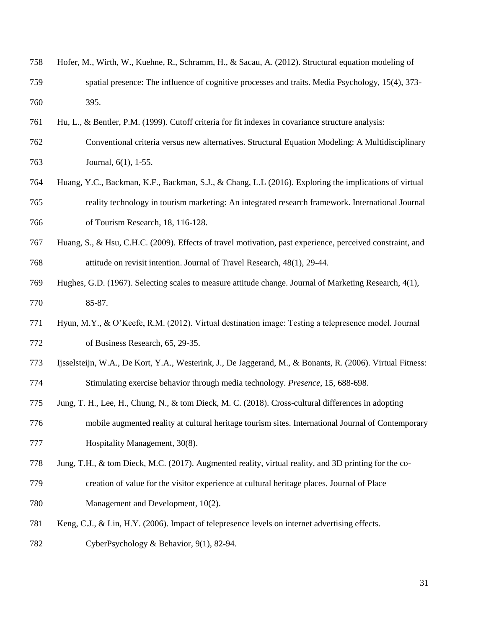| 758 | Hofer, M., Wirth, W., Kuehne, R., Schramm, H., & Sacau, A. (2012). Structural equation modeling of |
|-----|----------------------------------------------------------------------------------------------------|
| 759 | spatial presence: The influence of cognitive processes and traits. Media Psychology, 15(4), 373-   |
| 760 | 395.                                                                                               |

- Hu, L., & Bentler, P.M. (1999). Cutoff criteria for fit indexes in covariance structure analysis:
- Conventional criteria versus new alternatives. Structural Equation Modeling: A Multidisciplinary Journal, 6(1), 1-55.
- Huang, Y.C., Backman, K.F., Backman, S.J., & Chang, L.L (2016). Exploring the implications of virtual reality technology in tourism marketing: An integrated research framework. International Journal of Tourism Research, 18, 116-128.
- Huang, S., & Hsu, C.H.C. (2009). Effects of travel motivation, past experience, perceived constraint, and attitude on revisit intention. Journal of Travel Research, 48(1), 29-44.
- Hughes, G.D. (1967). Selecting scales to measure attitude change. Journal of Marketing Research, 4(1), 85-87.
- Hyun, M.Y., & O'Keefe, R.M. (2012). Virtual destination image: Testing a telepresence model. Journal of Business Research, 65, 29-35.
- Ijsselsteijn, W.A., De Kort, Y.A., Westerink, J., De Jaggerand, M., & Bonants, R. (2006). Virtual Fitness: Stimulating exercise behavior through media technology. *Presence*, 15, 688-698.
- Jung, T. H., Lee, H., Chung, N., & tom Dieck, M. C. (2018). Cross-cultural differences in adopting
- mobile augmented reality at cultural heritage tourism sites. International Journal of Contemporary 777 Hospitality Management, 30(8).
- Jung, T.H., & tom Dieck, M.C. (2017). Augmented reality, virtual reality, and 3D printing for the co-
- creation of value for the visitor experience at cultural heritage places. Journal of Place Management and Development, 10(2).
- Keng, C.J., & Lin, H.Y. (2006). Impact of telepresence levels on internet advertising effects.

CyberPsychology & Behavior, 9(1), 82-94.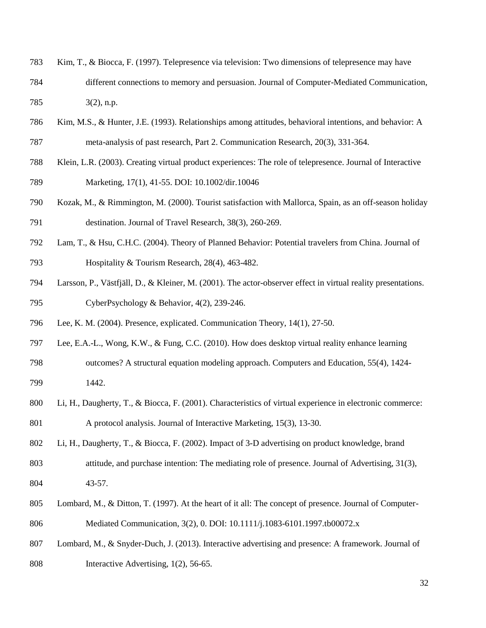- Kim, T., & Biocca, F. (1997). Telepresence via television: Two dimensions of telepresence may have different connections to memory and persuasion. Journal of Computer-Mediated Communication, 3(2), n.p.
- Kim, M.S., & Hunter, J.E. (1993). Relationships among attitudes, behavioral intentions, and behavior: A meta-analysis of past research, Part 2. Communication Research, 20(3), 331-364.
- Klein, L.R. (2003). Creating virtual product experiences: The role of telepresence. Journal of Interactive Marketing, 17(1), 41-55. DOI: 10.1002/dir.10046
- Kozak, M., & Rimmington, M. (2000). Tourist satisfaction with Mallorca, Spain, as an off-season holiday destination. Journal of Travel Research, 38(3), 260-269.
- Lam, T., & Hsu, C.H.C. (2004). Theory of Planned Behavior: Potential travelers from China. Journal of Hospitality & Tourism Research, 28(4), 463-482.
- Larsson, P., Västfjäll, D., & Kleiner, M. (2001). The actor-observer effect in virtual reality presentations. CyberPsychology & Behavior, 4(2), 239-246.
- Lee, K. M. (2004). Presence, explicated. Communication Theory, 14(1), 27-50.
- Lee, E.A.-L., Wong, K.W., & Fung, C.C. (2010). How does desktop virtual reality enhance learning outcomes? A structural equation modeling approach. Computers and Education, 55(4), 1424-
- 1442.
- Li, H., Daugherty, T., & Biocca, F. (2001). Characteristics of virtual experience in electronic commerce: A protocol analysis. Journal of Interactive Marketing, 15(3), 13-30.
- Li, H., Daugherty, T., & Biocca, F. (2002). Impact of 3-D advertising on product knowledge, brand
- attitude, and purchase intention: The mediating role of presence. Journal of Advertising, 31(3), 43-57.
- Lombard, M., & Ditton, T. (1997). At the heart of it all: The concept of presence. Journal of Computer-Mediated Communication, 3(2), 0. DOI: 10.1111/j.1083-6101.1997.tb00072.x
- Lombard, M., & Snyder-Duch, J. (2013). Interactive advertising and presence: A framework. Journal of
- Interactive Advertising, 1(2), 56-65.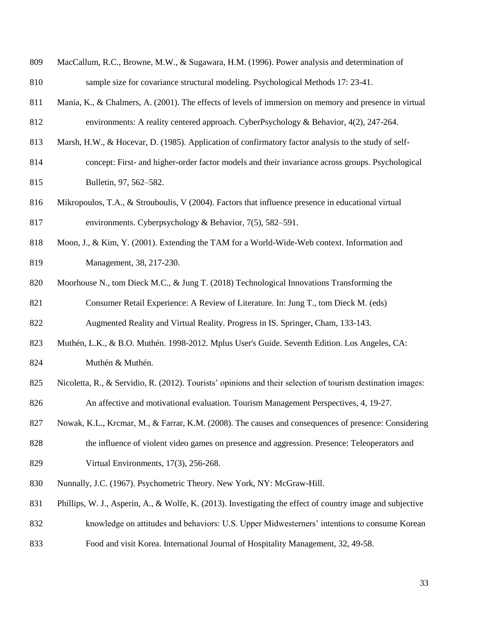| 809 | MacCallum, R.C., Browne, M.W., & Sugawara, H.M. (1996). Power analysis and determination of                 |
|-----|-------------------------------------------------------------------------------------------------------------|
| 810 | sample size for covariance structural modeling. Psychological Methods 17: 23-41.                            |
| 811 | Mania, K., & Chalmers, A. (2001). The effects of levels of immersion on memory and presence in virtual      |
| 812 | environments: A reality centered approach. CyberPsychology & Behavior, $4(2)$ , $247-264$ .                 |
| 813 | Marsh, H.W., & Hocevar, D. (1985). Application of confirmatory factor analysis to the study of self-        |
| 814 | concept: First- and higher-order factor models and their invariance across groups. Psychological            |
| 815 | Bulletin, 97, 562-582.                                                                                      |
| 816 | Mikropoulos, T.A., & Strouboulis, V (2004). Factors that influence presence in educational virtual          |
| 817 | environments. Cyberpsychology & Behavior, 7(5), 582–591.                                                    |
| 818 | Moon, J., & Kim, Y. (2001). Extending the TAM for a World-Wide-Web context. Information and                 |
| 819 | Management, 38, 217-230.                                                                                    |
| 820 | Moorhouse N., tom Dieck M.C., & Jung T. (2018) Technological Innovations Transforming the                   |
| 821 | Consumer Retail Experience: A Review of Literature. In: Jung T., tom Dieck M. (eds)                         |
| 822 | Augmented Reality and Virtual Reality. Progress in IS. Springer, Cham, 133-143.                             |
| 823 | Muthén, L.K., & B.O. Muthén. 1998-2012. Mplus User's Guide. Seventh Edition. Los Angeles, CA:               |
| 824 | Muthén & Muthén.                                                                                            |
| 825 | Nicoletta, R., & Servidio, R. (2012). Tourists' opinions and their selection of tourism destination images: |
| 826 | An affective and motivational evaluation. Tourism Management Perspectives, 4, 19-27.                        |
| 827 | Nowak, K.L., Krcmar, M., & Farrar, K.M. (2008). The causes and consequences of presence: Considering        |
| 828 | the influence of violent video games on presence and aggression. Presence: Teleoperators and                |
| 829 | Virtual Environments, 17(3), 256-268.                                                                       |
| 830 | Nunnally, J.C. (1967). Psychometric Theory. New York, NY: McGraw-Hill.                                      |
| 831 | Phillips, W. J., Asperin, A., & Wolfe, K. (2013). Investigating the effect of country image and subjective  |
| 832 | knowledge on attitudes and behaviors: U.S. Upper Midwesterners' intentions to consume Korean                |
| 833 | Food and visit Korea. International Journal of Hospitality Management, 32, 49-58.                           |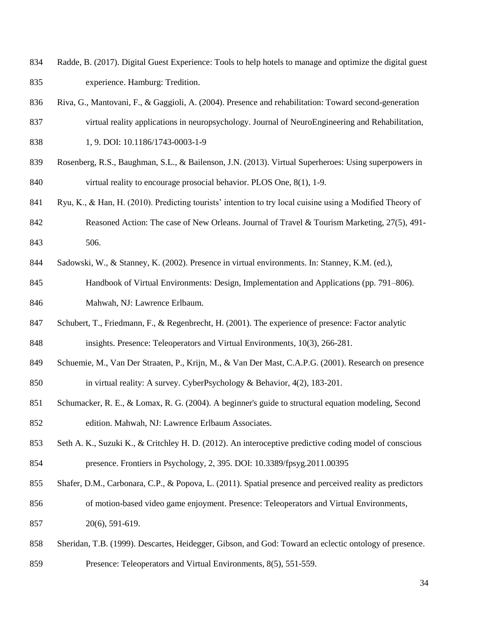- Radde, B. (2017). Digital Guest Experience: Tools to help hotels to manage and optimize the digital guest experience. Hamburg: Tredition.
- Riva, G., Mantovani, F., & Gaggioli, A. (2004). Presence and rehabilitation: Toward second-generation
- virtual reality applications in neuropsychology. Journal of NeuroEngineering and Rehabilitation, 1, 9. DOI: 10.1186/1743-0003-1-9
- Rosenberg, R.S., Baughman, S.L., & Bailenson, J.N. (2013). Virtual Superheroes: Using superpowers in virtual reality to encourage prosocial behavior. PLOS One, 8(1), 1-9.
- Ryu, K., & Han, H. (2010). Predicting tourists' intention to try local cuisine using a Modified Theory of
- 842 Reasoned Action: The case of New Orleans. Journal of Travel & Tourism Marketing, 27(5), 491-506.
- Sadowski, W., & Stanney, K. (2002). Presence in virtual environments. In: Stanney, K.M. (ed.),
- Handbook of Virtual Environments: Design, Implementation and Applications (pp. 791–806). Mahwah, NJ: Lawrence Erlbaum.
- Schubert, T., Friedmann, F., & Regenbrecht, H. (2001). The experience of presence: Factor analytic insights. Presence: Teleoperators and Virtual Environments, 10(3), 266-281.
- Schuemie, M., Van Der Straaten, P., Krijn, M., & Van Der Mast, C.A.P.G. (2001). Research on presence in virtual reality: A survey. CyberPsychology & Behavior, 4(2), 183-201.
- Schumacker, R. E., & Lomax, R. G. (2004). A beginner's guide to structural equation modeling, Second edition. Mahwah, NJ: Lawrence Erlbaum Associates.
- Seth A. K., Suzuki K., & Critchley H. D. (2012). An interoceptive predictive coding model of conscious presence. Frontiers in Psychology, 2, 395. DOI: 10.3389/fpsyg.2011.00395
- Shafer, D.M., Carbonara, C.P., & Popova, L. (2011). Spatial presence and perceived reality as predictors of motion-based video game enjoyment. Presence: Teleoperators and Virtual Environments, 20(6), 591-619.
- Sheridan, T.B. (1999). Descartes, Heidegger, Gibson, and God: Toward an eclectic ontology of presence.
- Presence: Teleoperators and Virtual Environments, 8(5), 551-559.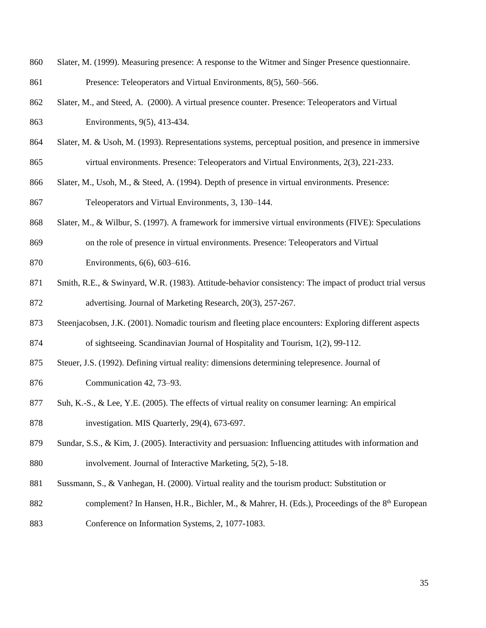- Slater, M. (1999). Measuring presence: A response to the Witmer and Singer Presence questionnaire. Presence: Teleoperators and Virtual Environments, 8(5), 560–566.
- Slater, M., and Steed, A. (2000). A virtual presence counter. Presence: Teleoperators and Virtual Environments, 9(5), 413-434.
- Slater, M. & Usoh, M. (1993). Representations systems, perceptual position, and presence in immersive virtual environments. Presence: Teleoperators and Virtual Environments, 2(3), 221-233.
- Slater, M., Usoh, M., & Steed, A. (1994). Depth of presence in virtual environments. Presence: Teleoperators and Virtual Environments, 3, 130–144.
- Slater, M., & Wilbur, S. (1997). A framework for immersive virtual environments (FIVE): Speculations
- on the role of presence in virtual environments. Presence: Teleoperators and Virtual
- Environments, 6(6), 603–616.
- 871 Smith, R.E., & Swinyard, W.R. (1983). Attitude-behavior consistency: The impact of product trial versus advertising. Journal of Marketing Research, 20(3), 257-267.
- Steenjacobsen, J.K. (2001). Nomadic tourism and fleeting place encounters: Exploring different aspects of sightseeing. Scandinavian Journal of Hospitality and Tourism, 1(2), 99-112.
- 
- Steuer, J.S. (1992). Defining virtual reality: dimensions determining telepresence. Journal of Communication 42, 73–93.
- Suh, K.-S., & Lee, Y.E. (2005). The effects of virtual reality on consumer learning: An empirical investigation. MIS Quarterly, 29(4), 673-697.
- Sundar, S.S., & Kim, J. (2005). Interactivity and persuasion: Influencing attitudes with information and involvement. Journal of Interactive Marketing, 5(2), 5-18.
- Sussmann, S., & Vanhegan, H. (2000). Virtual reality and the tourism product: Substitution or
- 882 complement? In Hansen, H.R., Bichler, M., & Mahrer, H. (Eds.), Proceedings of the 8<sup>th</sup> European
- Conference on Information Systems, 2, 1077-1083.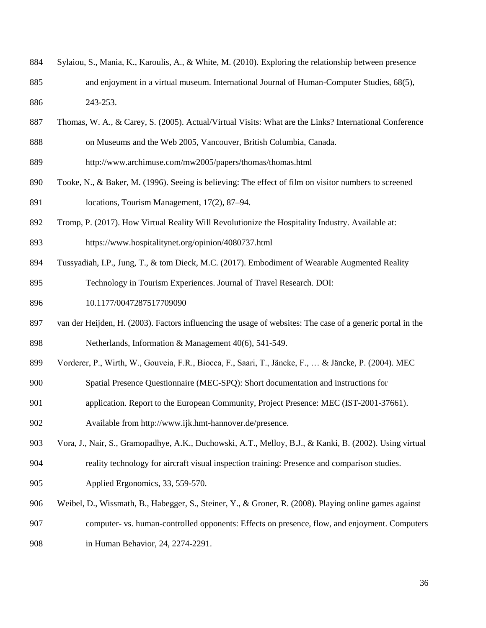- Sylaiou, S., Mania, K., Karoulis, A., & White, M. (2010). Exploring the relationship between presence and enjoyment in a virtual museum. International Journal of Human-Computer Studies, 68(5), 243-253.
- Thomas, W. A., & Carey, S. (2005). Actual/Virtual Visits: What are the Links? International Conference on Museums and the Web 2005, Vancouver, British Columbia, Canada.
- http://www.archimuse.com/mw2005/papers/thomas/thomas.html
- Tooke, N., & Baker, M. (1996). Seeing is believing: The effect of film on visitor numbers to screened locations, Tourism Management, 17(2), 87–94.
- Tromp, P. (2017). How Virtual Reality Will Revolutionize the Hospitality Industry. Available at:
- https://www.hospitalitynet.org/opinion/4080737.html
- Tussyadiah, I.P., Jung, T., & tom Dieck, M.C. (2017). Embodiment of Wearable Augmented Reality Technology in Tourism Experiences. Journal of Travel Research. DOI:
- 10.1177/0047287517709090
- van der Heijden, H. (2003). Factors influencing the usage of websites: The case of a generic portal in the Netherlands, Information & Management 40(6), 541-549.
- Vorderer, P., Wirth, W., Gouveia, F.R., Biocca, F., Saari, T., Jäncke, F., … & Jäncke, P. (2004). MEC
- Spatial Presence Questionnaire (MEC-SPQ): Short documentation and instructions for
- application. Report to the European Community, Project Presence: MEC (IST-2001-37661). Available from http://www.ijk.hmt-hannover.de/presence.
- Vora, J., Nair, S., Gramopadhye, A.K., Duchowski, A.T., Melloy, B.J., & Kanki, B. (2002). Using virtual reality technology for aircraft visual inspection training: Presence and comparison studies. Applied Ergonomics, 33, 559-570.
- Weibel, D., Wissmath, B., Habegger, S., Steiner, Y., & Groner, R. (2008). Playing online games against
- computer- vs. human-controlled opponents: Effects on presence, flow, and enjoyment. Computers
- in Human Behavior, 24, 2274-2291.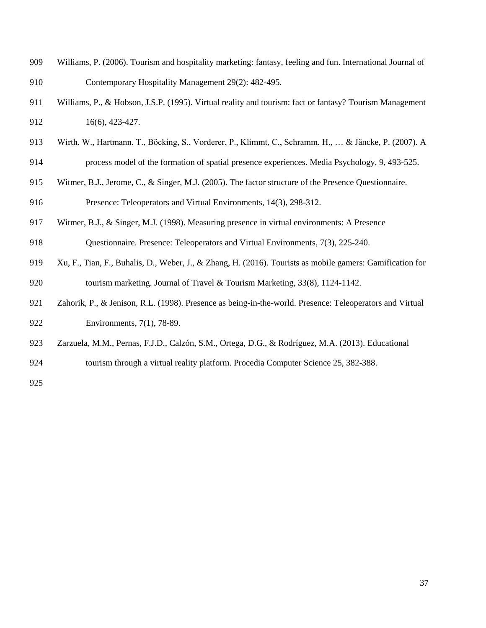- Williams, P. (2006). Tourism and hospitality marketing: fantasy, feeling and fun. International Journal of Contemporary Hospitality Management 29(2): 482-495.
- Williams, P., & Hobson, J.S.P. (1995). Virtual reality and tourism: fact or fantasy? Tourism Management 16(6), 423-427.
- Wirth, W., Hartmann, T., Böcking, S., Vorderer, P., Klimmt, C., Schramm, H., … & Jäncke, P. (2007). A process model of the formation of spatial presence experiences. Media Psychology, 9, 493-525.
- Witmer, B.J., Jerome, C., & Singer, M.J. (2005). The factor structure of the Presence Questionnaire. Presence: Teleoperators and Virtual Environments, 14(3), 298-312.
- [Witmer, B.J., & Singer, M.J.](http://www.sciencedirect.com/science/article/pii/S000368700200039X#BIB46) (1998). Measuring presence in virtual environments: A Presence
- Questionnaire. Presence: Teleoperators and Virtual Environments, 7(3), 225-240.
- Xu, F., Tian, F., Buhalis, D., Weber, J., & Zhang, H. (2016). Tourists as mobile gamers: Gamification for tourism marketing. Journal of Travel & Tourism Marketing, 33(8), 1124-1142.
- Zahorik, P., & Jenison, R.L. (1998). Presence as being-in-the-world. Presence: Teleoperators and Virtual Environments, 7(1), 78-89.
- Zarzuela, M.M., Pernas, F.J.D., Calzón, S.M., Ortega, D.G., & Rodríguez, M.A. (2013). Educational
- tourism through a virtual reality platform. Procedia Computer Science 25, 382-388.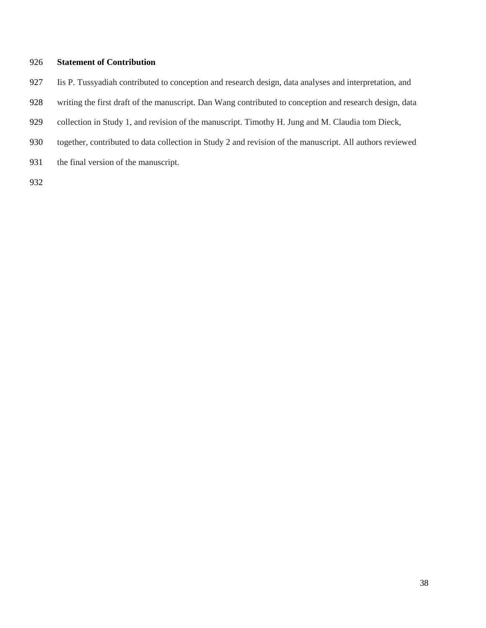#### **Statement of Contribution**

- Iis P. Tussyadiah contributed to conception and research design, data analyses and interpretation, and
- writing the first draft of the manuscript. Dan Wang contributed to conception and research design, data
- 929 collection in Study 1, and revision of the manuscript. Timothy H. Jung and M. Claudia tom Dieck,
- together, contributed to data collection in Study 2 and revision of the manuscript. All authors reviewed
- 931 the final version of the manuscript.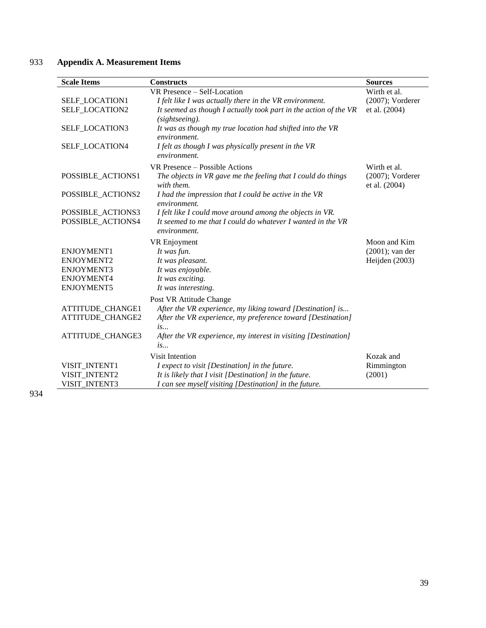## 933 **Appendix A. Measurement Items**

| <b>Scale Items</b> | <b>Constructs</b>                                                | <b>Sources</b>      |
|--------------------|------------------------------------------------------------------|---------------------|
|                    | VR Presence – Self-Location                                      | Wirth et al.        |
| SELF_LOCATION1     | I felt like I was actually there in the VR environment.          | $(2007)$ ; Vorderer |
| SELF_LOCATION2     | It seemed as though I actually took part in the action of the VR | et al. (2004)       |
|                    | (sightseeing).                                                   |                     |
| SELF_LOCATION3     | It was as though my true location had shifted into the VR        |                     |
|                    | environment.                                                     |                     |
| SELF_LOCATION4     | I felt as though I was physically present in the VR              |                     |
|                    | environment.                                                     |                     |
|                    | VR Presence – Possible Actions                                   | Wirth et al.        |
| POSSIBLE_ACTIONS1  | The objects in VR gave me the feeling that I could do things     | $(2007)$ ; Vorderer |
|                    | with them.                                                       | et al. (2004)       |
| POSSIBLE_ACTIONS2  | I had the impression that I could be active in the VR            |                     |
|                    | environment.                                                     |                     |
| POSSIBLE_ACTIONS3  | I felt like I could move around among the objects in VR.         |                     |
| POSSIBLE_ACTIONS4  | It seemed to me that I could do whatever I wanted in the VR      |                     |
|                    | environment.                                                     |                     |
|                    | VR Enjoyment                                                     | Moon and Kim        |
| <b>ENJOYMENT1</b>  | It was fun.                                                      | $(2001)$ ; van der  |
| ENJOYMENT2         | It was pleasant.                                                 | Heijden (2003)      |
| <b>ENJOYMENT3</b>  | It was enjoyable.                                                |                     |
| ENJOYMENT4         | It was exciting.                                                 |                     |
| <b>ENJOYMENT5</b>  | It was interesting.                                              |                     |
|                    | Post VR Attitude Change                                          |                     |
| ATTITUDE_CHANGE1   | After the VR experience, my liking toward [Destination] is       |                     |
| ATTITUDE_CHANGE2   | After the VR experience, my preference toward [Destination]      |                     |
|                    | is                                                               |                     |
| ATTITUDE_CHANGE3   | After the VR experience, my interest in visiting [Destination]   |                     |
|                    | is                                                               |                     |
|                    | Visit Intention                                                  | Kozak and           |
| VISIT_INTENT1      | I expect to visit [Destination] in the future.                   | Rimmington          |
| VISIT INTENT2      | It is likely that $I$ visit $[Destination]$ in the future.       | (2001)              |
| VISIT_INTENT3      | I can see myself visiting [Destination] in the future.           |                     |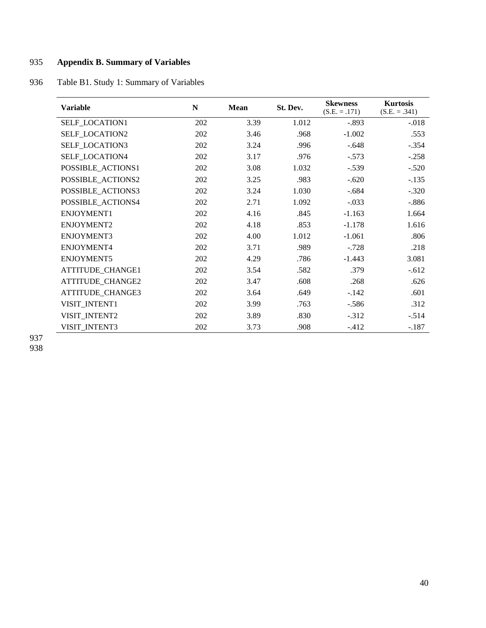## 935 **Appendix B. Summary of Variables**

## 936 Table B1. Study 1: Summary of Variables

| <b>Variable</b>       | N   | Mean | St. Dev. | <b>Skewness</b><br>$(S.E. = .171)$ | <b>Kurtosis</b><br>$(S.E. = .341)$ |
|-----------------------|-----|------|----------|------------------------------------|------------------------------------|
| SELF_LOCATION1        | 202 | 3.39 | 1.012    | $-.893$                            | $-.018$                            |
| <b>SELF LOCATION2</b> | 202 | 3.46 | .968     | $-1.002$                           | .553                               |
| <b>SELF LOCATION3</b> | 202 | 3.24 | .996     | $-.648$                            | $-.354$                            |
| SELF_LOCATION4        | 202 | 3.17 | .976     | $-.573$                            | $-.258$                            |
| POSSIBLE_ACTIONS1     | 202 | 3.08 | 1.032    | $-.539$                            | $-.520$                            |
| POSSIBLE_ACTIONS2     | 202 | 3.25 | .983     | $-.620$                            | $-.135$                            |
| POSSIBLE ACTIONS3     | 202 | 3.24 | 1.030    | $-.684$                            | $-.320$                            |
| POSSIBLE_ACTIONS4     | 202 | 2.71 | 1.092    | $-.033$                            | $-.886$                            |
| ENJOYMENT1            | 202 | 4.16 | .845     | $-1.163$                           | 1.664                              |
| ENJOYMENT2            | 202 | 4.18 | .853     | $-1.178$                           | 1.616                              |
| <b>ENJOYMENT3</b>     | 202 | 4.00 | 1.012    | $-1.061$                           | .806                               |
| ENJOYMENT4            | 202 | 3.71 | .989     | $-.728$                            | .218                               |
| ENJOYMENT5            | 202 | 4.29 | .786     | $-1.443$                           | 3.081                              |
| ATTITUDE_CHANGE1      | 202 | 3.54 | .582     | .379                               | $-.612$                            |
| ATTITUDE_CHANGE2      | 202 | 3.47 | .608     | .268                               | .626                               |
| ATTITUDE_CHANGE3      | 202 | 3.64 | .649     | $-.142$                            | .601                               |
| VISIT_INTENT1         | 202 | 3.99 | .763     | $-.586$                            | .312                               |
| VISIT_INTENT2         | 202 | 3.89 | .830     | $-312$                             | $-.514$                            |
| VISIT_INTENT3         | 202 | 3.73 | .908     | $-412$                             | $-.187$                            |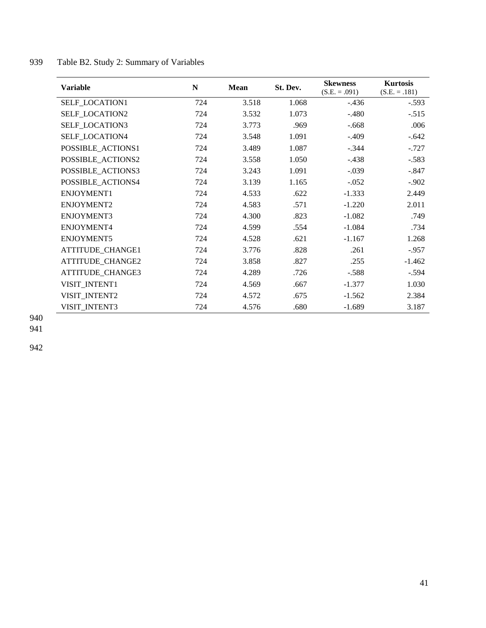| <b>Variable</b>       | $\mathbf N$ | Mean  | St. Dev. | <b>Skewness</b><br>$(S.E. = .091)$ | <b>Kurtosis</b><br>$(S.E. = .181)$ |
|-----------------------|-------------|-------|----------|------------------------------------|------------------------------------|
| SELF_LOCATION1        | 724         | 3.518 | 1.068    | $-.436$                            | $-.593$                            |
| <b>SELF LOCATION2</b> | 724         | 3.532 | 1.073    | $-.480$                            | $-.515$                            |
| SELF_LOCATION3        | 724         | 3.773 | .969     | $-.668$                            | .006                               |
| <b>SELF LOCATION4</b> | 724         | 3.548 | 1.091    | $-.409$                            | $-.642$                            |
| POSSIBLE_ACTIONS1     | 724         | 3.489 | 1.087    | $-.344$                            | $-.727$                            |
| POSSIBLE_ACTIONS2     | 724         | 3.558 | 1.050    | $-.438$                            | $-.583$                            |
| POSSIBLE_ACTIONS3     | 724         | 3.243 | 1.091    | $-.039$                            | $-.847$                            |
| POSSIBLE_ACTIONS4     | 724         | 3.139 | 1.165    | $-.052$                            | $-.902$                            |
| ENJOYMENT1            | 724         | 4.533 | .622     | $-1.333$                           | 2.449                              |
| ENJOYMENT2            | 724         | 4.583 | .571     | $-1.220$                           | 2.011                              |
| ENJOYMENT3            | 724         | 4.300 | .823     | $-1.082$                           | .749                               |
| ENJOYMENT4            | 724         | 4.599 | .554     | $-1.084$                           | .734                               |
| ENJOYMENT5            | 724         | 4.528 | .621     | $-1.167$                           | 1.268                              |
| ATTITUDE_CHANGE1      | 724         | 3.776 | .828     | .261                               | $-0.957$                           |
| ATTITUDE_CHANGE2      | 724         | 3.858 | .827     | .255                               | $-1.462$                           |
| ATTITUDE_CHANGE3      | 724         | 4.289 | .726     | $-.588$                            | $-.594$                            |
| VISIT_INTENT1         | 724         | 4.569 | .667     | $-1.377$                           | 1.030                              |
| VISIT_INTENT2         | 724         | 4.572 | .675     | $-1.562$                           | 2.384                              |
| VISIT INTENT3         | 724         | 4.576 | .680     | $-1.689$                           | 3.187                              |

## 939 Table B2. Study 2: Summary of Variables

940

941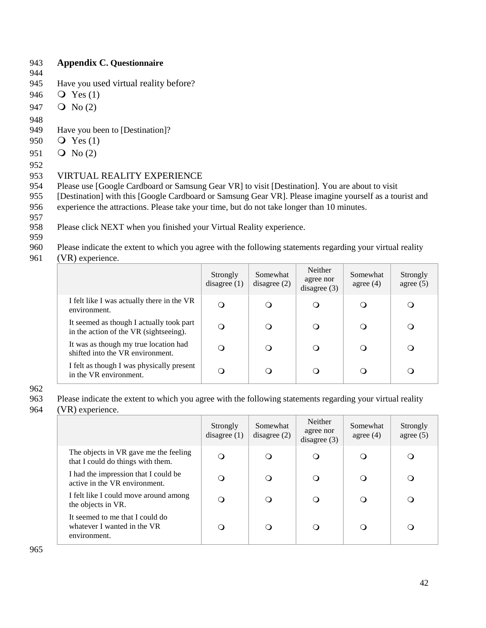## 943 **Appendix C. Questionnaire**

- 944
- 
- 945 Have you used virtual reality before?
- 946 Yes (1)
- 947  $\circ$  No (2)
- 948
- 949 Have you been to [Destination]?
- 950 Yes (1)
- 951  $\circ$  No (2)
- 952

## 953 VIRTUAL REALITY EXPERIENCE

- 954 Please use [Google Cardboard or Samsung Gear VR] to visit [Destination]. You are about to visit
- 955 [Destination] with this [Google Cardboard or Samsung Gear VR]. Please imagine yourself as a tourist and 956 experience the attractions. Please take your time, but do not take longer than 10 minutes.
- 957
- 958 Please click NEXT when you finished your Virtual Reality experience.
- 959
- 960 Please indicate the extent to which you agree with the following statements regarding your virtual reality
- 961 (VR) experience.

|                                                                                    | Strongly<br>disagree $(1)$ | Somewhat<br>disagree $(2)$ | Neither<br>agree nor<br>disagree $(3)$ | Somewhat<br>agree $(4)$ | Strongly<br>agree $(5)$ |
|------------------------------------------------------------------------------------|----------------------------|----------------------------|----------------------------------------|-------------------------|-------------------------|
| I felt like I was actually there in the VR<br>environment.                         | O                          |                            | Q                                      | O                       |                         |
| It seemed as though I actually took part<br>in the action of the VR (sightseeing). |                            |                            | $\circ$                                | $\cup$                  |                         |
| It was as though my true location had<br>shifted into the VR environment.          | ∩                          |                            | $\Omega$                               | $\Omega$                |                         |
| I felt as though I was physically present<br>in the VR environment.                | ∩                          |                            | Ω                                      | O                       |                         |

962

963 Please indicate the extent to which you agree with the following statements regarding your virtual reality

964 (VR) experience.

|                                                                                | Strongly<br>disagree $(1)$ | Somewhat<br>disagree $(2)$ | Neither<br>agree nor<br>disagree $(3)$ | Somewhat<br>agree $(4)$ | Strongly<br>agree $(5)$ |
|--------------------------------------------------------------------------------|----------------------------|----------------------------|----------------------------------------|-------------------------|-------------------------|
| The objects in VR gave me the feeling<br>that I could do things with them.     | ∩                          | ∩                          | O                                      | O                       | $\Omega$                |
| I had the impression that I could be<br>active in the VR environment.          | $\Omega$                   | Q                          | ∩                                      | O                       | ∩                       |
| I felt like I could move around among<br>the objects in VR.                    | ∩                          | Q                          | ∩                                      | O                       | ∩                       |
| It seemed to me that I could do<br>whatever I wanted in the VR<br>environment. | O                          | Q                          | ∩                                      | O                       | ∩                       |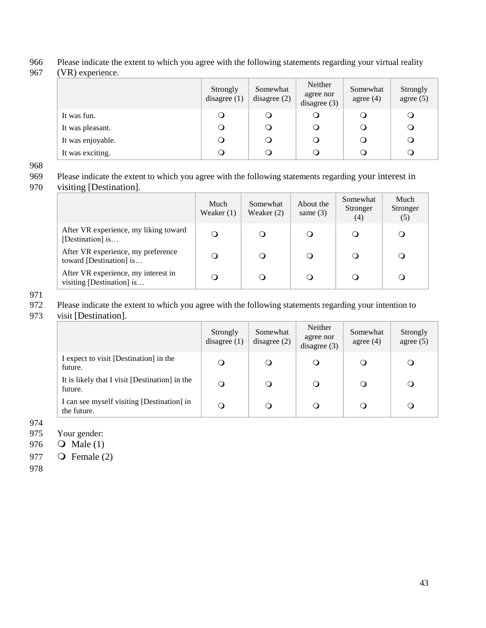#### 966 Please indicate the extent to which you agree with the following statements regarding your virtual reality

967 (VR) experience.

|                   | Strongly<br>disagree $(1)$ | Somewhat<br>disagree $(2)$ | Neither<br>agree nor<br>disagree $(3)$ | Somewhat<br>agree $(4)$ | Strongly<br>agree $(5)$ |
|-------------------|----------------------------|----------------------------|----------------------------------------|-------------------------|-------------------------|
| It was fun.       |                            | U                          | $\cup$                                 |                         |                         |
| It was pleasant.  | Ö                          | $\circ$                    | O                                      | ◡                       |                         |
| It was enjoyable. |                            | Ő                          | O                                      |                         |                         |
| It was exciting.  |                            | Ő                          | $\circ$                                |                         |                         |

968<br>969 Please indicate the extent to which you agree with the following statements regarding your interest in

970 visiting [Destination].

|                                                                  | Much<br>Weaker $(1)$ | Somewhat<br>Weaker $(2)$ | About the<br>same $(3)$ | Somewhat<br>Stronger<br>(4) | Much<br>Stronger<br>(5) |
|------------------------------------------------------------------|----------------------|--------------------------|-------------------------|-----------------------------|-------------------------|
| After VR experience, my liking toward<br>[Destination] is        | $\cup$               | $\Omega$                 | $\circ$                 | O                           | O                       |
| After VR experience, my preference<br>toward [Destination] is    | $\Omega$             | O                        | O                       | O                           | Q                       |
| After VR experience, my interest in<br>visiting [Destination] is |                      |                          | $\Omega$                | Q                           |                         |

971

972 Please indicate the extent to which you agree with the following statements regarding your intention to

973 visit [Destination].

|                                                           | Strongly<br>disagree $(1)$ | Somewhat<br>disagree $(2)$ | Neither<br>agree nor<br>disagree $(3)$ | Somewhat<br>agree $(4)$ | Strongly<br>agree $(5)$ |
|-----------------------------------------------------------|----------------------------|----------------------------|----------------------------------------|-------------------------|-------------------------|
| I expect to visit [Destination] in the<br>future.         | $\circ$                    | O                          | $\Omega$                               | O                       | $\Omega$                |
| It is likely that I visit [Destination] in the<br>future. | $\circ$                    | $\circ$                    | $\Omega$                               | O                       | O                       |
| I can see myself visiting [Destination] in<br>the future. | O                          |                            | $\Omega$                               | $\cup$                  |                         |

974

975 Your gender:

976 **O** Male (1)

977 **O** Female (2)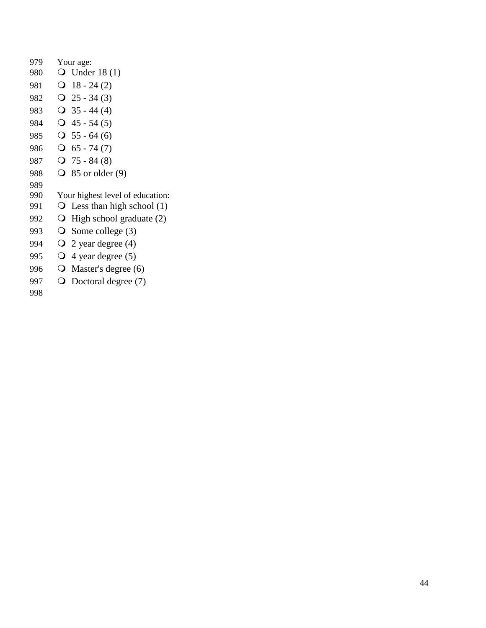| 979 | Your age:                           |
|-----|-------------------------------------|
| 980 | $\bigcirc$ Under 18(1)              |
| 981 | $18 - 24(2)$<br>Ő                   |
| 982 | $Q$ 25 - 34 (3)                     |
| 983 | $\bigcirc$ 35 - 44 (4)              |
| 984 | $\textbf{Q}$ 45 - 54 (5)            |
| 985 | $\textbf{O}$ 55 - 64 (6)            |
| 986 | $\textbf{O}$ 65 - 74 (7)            |
| 987 | $Q$ 75 - 84 (8)                     |
| 988 | ∩<br>85 or older (9)                |
| 989 |                                     |
| 990 | Your highest level of education:    |
| 991 | Less than high school $(1)$<br>Ő    |
| 992 | High school graduate $(2)$<br>Ő     |
| 993 | O<br>Some college (3)               |
| 994 | $\mathsf{O}$<br>2 year degree $(4)$ |
| 995 | $\mathbf O$<br>4 year degree $(5)$  |
| 996 | $\mathbf O$<br>Master's degree (6)  |
| 997 | Doctoral degree (7)                 |
| 998 |                                     |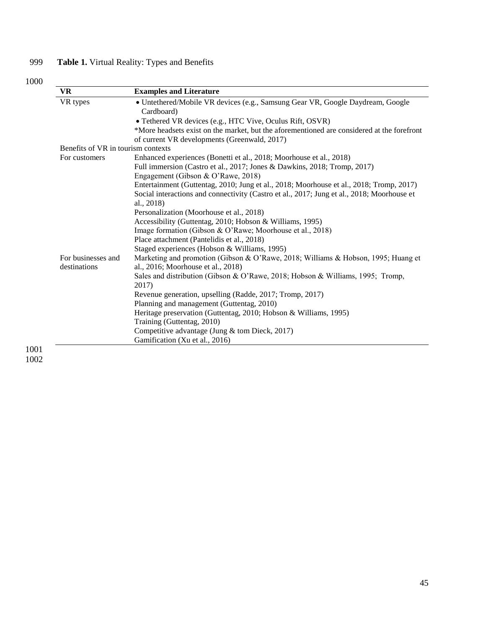# 999 **Table 1.** Virtual Reality: Types and Benefits

# 1000

| <b>VR</b>                          | <b>Examples and Literature</b>                                                                                                             |
|------------------------------------|--------------------------------------------------------------------------------------------------------------------------------------------|
| VR types                           | · Untethered/Mobile VR devices (e.g., Samsung Gear VR, Google Daydream, Google<br>Cardboard)                                               |
|                                    | • Tethered VR devices (e.g., HTC Vive, Oculus Rift, OSVR)                                                                                  |
|                                    | *More headsets exist on the market, but the aforementioned are considered at the forefront<br>of current VR developments (Greenwald, 2017) |
| Benefits of VR in tourism contexts |                                                                                                                                            |
| For customers                      | Enhanced experiences (Bonetti et al., 2018; Moorhouse et al., 2018)                                                                        |
|                                    | Full immersion (Castro et al., 2017; Jones & Dawkins, 2018; Tromp, 2017)                                                                   |
|                                    | Engagement (Gibson & O'Rawe, 2018)                                                                                                         |
|                                    | Entertainment (Guttentag, 2010; Jung et al., 2018; Moorhouse et al., 2018; Tromp, 2017)                                                    |
|                                    | Social interactions and connectivity (Castro et al., 2017; Jung et al., 2018; Moorhouse et                                                 |
|                                    | al., 2018)                                                                                                                                 |
|                                    | Personalization (Moorhouse et al., 2018)                                                                                                   |
|                                    | Accessibility (Guttentag, 2010; Hobson & Williams, 1995)                                                                                   |
|                                    | Image formation (Gibson & O'Rawe; Moorhouse et al., 2018)                                                                                  |
|                                    | Place attachment (Pantelidis et al., 2018)                                                                                                 |
|                                    | Staged experiences (Hobson & Williams, 1995)                                                                                               |
| For businesses and<br>destinations | Marketing and promotion (Gibson & O'Rawe, 2018; Williams & Hobson, 1995; Huang et<br>al., 2016; Moorhouse et al., 2018)                    |
|                                    | Sales and distribution (Gibson & O'Rawe, 2018; Hobson & Williams, 1995; Tromp,<br>2017)                                                    |
|                                    | Revenue generation, upselling (Radde, 2017; Tromp, 2017)                                                                                   |
|                                    | Planning and management (Guttentag, 2010)                                                                                                  |
|                                    | Heritage preservation (Guttentag, 2010; Hobson & Williams, 1995)                                                                           |
|                                    | Training (Guttentag, 2010)                                                                                                                 |
|                                    | Competitive advantage (Jung & tom Dieck, 2017)                                                                                             |
|                                    | Gamification (Xu et al., 2016)                                                                                                             |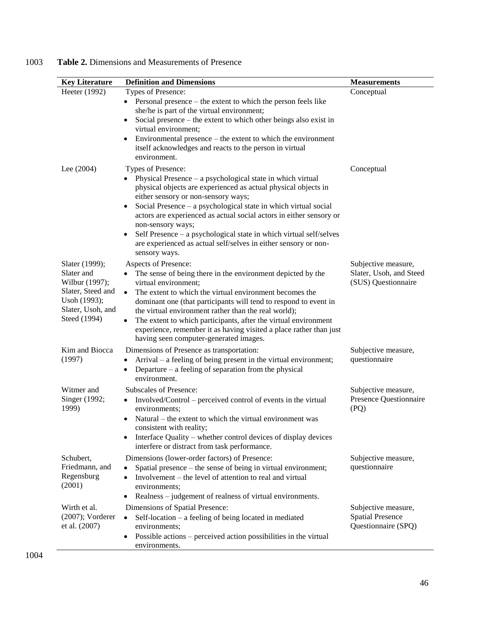| 1003 |  | <b>Table 2.</b> Dimensions and Measurements of Presence |
|------|--|---------------------------------------------------------|
|      |  |                                                         |

| <b>Key Literature</b>                                                                                                    | <b>Definition and Dimensions</b>                                                                                                                                                                                                                                                                                                                                                                                                                                                                                                             | <b>Measurements</b>                                                   |
|--------------------------------------------------------------------------------------------------------------------------|----------------------------------------------------------------------------------------------------------------------------------------------------------------------------------------------------------------------------------------------------------------------------------------------------------------------------------------------------------------------------------------------------------------------------------------------------------------------------------------------------------------------------------------------|-----------------------------------------------------------------------|
| Heeter (1992)                                                                                                            | Types of Presence:<br>Personal presence – the extent to which the person feels like<br>she/he is part of the virtual environment;<br>Social presence $-$ the extent to which other beings also exist in<br>virtual environment;<br>Environmental presence – the extent to which the environment<br>itself acknowledges and reacts to the person in virtual<br>environment.                                                                                                                                                                   | Conceptual                                                            |
| Lee $(2004)$                                                                                                             | Types of Presence:<br>Physical Presence – a psychological state in which virtual<br>$\bullet$<br>physical objects are experienced as actual physical objects in<br>either sensory or non-sensory ways;<br>Social Presence – a psychological state in which virtual social<br>$\bullet$<br>actors are experienced as actual social actors in either sensory or<br>non-sensory ways;<br>Self Presence – a psychological state in which virtual self/selves<br>are experienced as actual self/selves in either sensory or non-<br>sensory ways. | Conceptual                                                            |
| Slater (1999);<br>Slater and<br>Wilbur (1997);<br>Slater, Steed and<br>Usoh (1993);<br>Slater, Usoh, and<br>Steed (1994) | Aspects of Presence:<br>The sense of being there in the environment depicted by the<br>virtual environment;<br>The extent to which the virtual environment becomes the<br>$\bullet$<br>dominant one (that participants will tend to respond to event in<br>the virtual environment rather than the real world);<br>The extent to which participants, after the virtual environment<br>experience, remember it as having visited a place rather than just<br>having seen computer-generated images.                                           | Subjective measure,<br>Slater, Usoh, and Steed<br>(SUS) Questionnaire |
| Kim and Biocca<br>(1997)                                                                                                 | Dimensions of Presence as transportation:<br>Arrival – a feeling of being present in the virtual environment;<br>٠<br>Departure $-$ a feeling of separation from the physical<br>$\bullet$<br>environment.                                                                                                                                                                                                                                                                                                                                   | Subjective measure,<br>questionnaire                                  |
| Witmer and<br>Singer (1992;<br>1999)                                                                                     | <b>Subscales of Presence:</b><br>Involved/Control – perceived control of events in the virtual<br>environments;<br>Natural – the extent to which the virtual environment was<br>consistent with reality;<br>Interface Quality – whether control devices of display devices<br>interfere or distract from task performance.                                                                                                                                                                                                                   | Subjective measure,<br>Presence Questionnaire<br>(PQ)                 |
| Schubert,<br>Friedmann, and<br>Regensburg<br>(2001)                                                                      | Dimensions (lower-order factors) of Presence:<br>Spatial presence – the sense of being in virtual environment;<br>Involvement – the level of attention to real and virtual<br>environments;<br>Realness - judgement of realness of virtual environments.                                                                                                                                                                                                                                                                                     | Subjective measure,<br>questionnaire                                  |
| Wirth et al.<br>$(2007)$ ; Vorderer<br>et al. (2007)                                                                     | Dimensions of Spatial Presence:<br>Self-location – a feeling of being located in mediated<br>$\bullet$<br>environments;<br>Possible actions – perceived action possibilities in the virtual<br>environments.                                                                                                                                                                                                                                                                                                                                 | Subjective measure,<br><b>Spatial Presence</b><br>Questionnaire (SPQ) |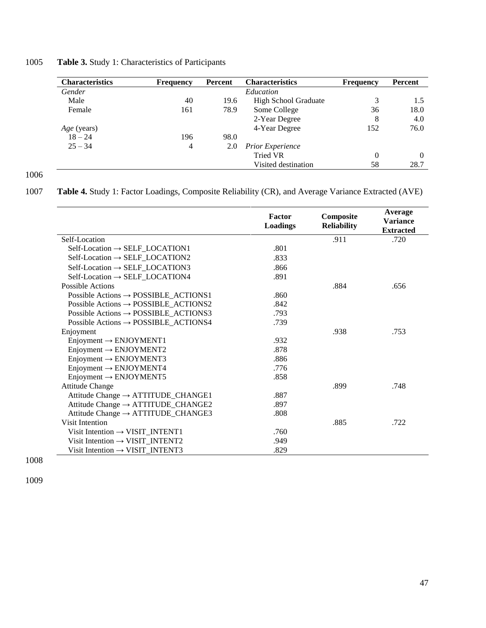1005 **Table 3.** Study 1: Characteristics of Participants

| <b>Characteristics</b> | <b>Frequency</b> | Percent | <b>Characteristics</b>      | <b>Frequency</b> | Percent |
|------------------------|------------------|---------|-----------------------------|------------------|---------|
| Gender                 |                  |         | Education                   |                  |         |
| Male                   | 40               | 19.6    | <b>High School Graduate</b> | 3                | 1.5     |
| Female                 | 161              | 78.9    | Some College                | 36               | 18.0    |
|                        |                  |         | 2-Year Degree               | 8                | 4.0     |
| <i>Age</i> (years)     |                  |         | 4-Year Degree               | 152              | 76.0    |
| $18 - 24$              | 196              | 98.0    |                             |                  |         |
| $25 - 34$              | $\overline{4}$   | 2.0     | <b>Prior Experience</b>     |                  |         |
|                        |                  |         | <b>Tried VR</b>             | $\theta$         | 0       |
|                        |                  |         | Visited destination         | 58               | 28.7    |

1007 **Table 4.** Study 1: Factor Loadings, Composite Reliability (CR), and Average Variance Extracted (AVE)

|                                                  | <b>Factor</b><br><b>Loadings</b> | Composite<br><b>Reliability</b> | Average<br><b>Variance</b><br><b>Extracted</b> |
|--------------------------------------------------|----------------------------------|---------------------------------|------------------------------------------------|
| Self-Location                                    |                                  | .911                            | .720                                           |
| $Self-Location \rightarrow SELF\_LOCALION1$      | .801                             |                                 |                                                |
| $Self-Location \rightarrow SELF\_LOCALION2$      | .833                             |                                 |                                                |
| $Self-Location \rightarrow SELF\_LOCALION3$      | .866                             |                                 |                                                |
| $Self-Location \rightarrow SELF\_LOCALION4$      | .891                             |                                 |                                                |
| <b>Possible Actions</b>                          |                                  | .884                            | .656                                           |
| Possible Actions $\rightarrow$ POSSIBLE_ACTIONS1 | .860                             |                                 |                                                |
| Possible Actions $\rightarrow$ POSSIBLE ACTIONS2 | .842                             |                                 |                                                |
| Possible Actions $\rightarrow$ POSSIBLE_ACTIONS3 | .793                             |                                 |                                                |
| Possible Actions $\rightarrow$ POSSIBLE_ACTIONS4 | .739                             |                                 |                                                |
| Enjoyment                                        |                                  | .938                            | .753                                           |
| $Enjoyment \rightarrow ENJOYMENT1$               | .932                             |                                 |                                                |
| $Enjoyment \rightarrow ENJOYMENT2$               | .878                             |                                 |                                                |
| $Enjoyment \rightarrow ENJOYMENT3$               | .886                             |                                 |                                                |
| $Enjoyment \rightarrow ENJOYMENT4$               | .776                             |                                 |                                                |
| $Enjoyment \rightarrow ENJOYMENT5$               | .858                             |                                 |                                                |
| <b>Attitude Change</b>                           |                                  | .899                            | .748                                           |
| Attitude Change → ATTITUDE_CHANGE1               | .887                             |                                 |                                                |
| Attitude Change $\rightarrow$ ATTITUDE_CHANGE2   | .897                             |                                 |                                                |
| Attitude Change $\rightarrow$ ATTITUDE_CHANGE3   | .808                             |                                 |                                                |
| <b>Visit Intention</b>                           |                                  | .885                            | .722                                           |
| Visit Intention $\rightarrow$ VISIT_INTENT1      | .760                             |                                 |                                                |
| Visit Intention $\rightarrow$ VISIT_INTENT2      | .949                             |                                 |                                                |
| Visit Intention $\rightarrow$ VISIT_INTENT3      | .829                             |                                 |                                                |

1008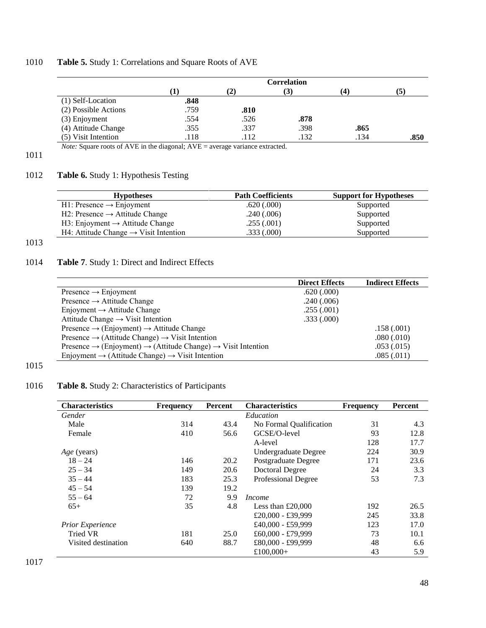## 1010 **Table 5.** Study 1: Correlations and Square Roots of AVE

|                      | <b>Correlation</b> |      |      |      |      |
|----------------------|--------------------|------|------|------|------|
|                      | $\mathbf{I}$       | (2)  | (3)  | (4)  | (5)  |
| (1) Self-Location    | .848               |      |      |      |      |
| (2) Possible Actions | .759               | .810 |      |      |      |
| $(3)$ Enjoyment      | .554               | .526 | .878 |      |      |
| (4) Attitude Change  | .355               | .337 | .398 | .865 |      |
| (5) Visit Intention  | .118               | .112 | .132 | .134 | .850 |

*Note:* Square roots of AVE in the diagonal; AVE = average variance extracted.

## 1011

## 1012 **Table 6.** Study 1: Hypothesis Testing

| <b>Hypotheses</b>                                 | <b>Path Coefficients</b> | <b>Support for Hypotheses</b> |
|---------------------------------------------------|--------------------------|-------------------------------|
| $H1$ : Presence $\rightarrow$ Enjoyment           | .620(.000)               | Supported                     |
| H2: Presence $\rightarrow$ Attitude Change        | .240(.006)               | Supported                     |
| H3: Enjoyment $\rightarrow$ Attitude Change       | .255(.001)               | Supported                     |
| H4: Attitude Change $\rightarrow$ Visit Intention | .333(.000)               | Supported                     |

## 1013

## 1014 **Table 7**. Study 1: Direct and Indirect Effects

|                                                                                                  | <b>Direct Effects</b> | <b>Indirect Effects</b> |
|--------------------------------------------------------------------------------------------------|-----------------------|-------------------------|
| Presence $\rightarrow$ Enjoyment                                                                 | .620(.000)            |                         |
| Presence $\rightarrow$ Attitude Change                                                           | .240(.006)            |                         |
| Enjoyment $\rightarrow$ Attitude Change                                                          | .255(.001)            |                         |
| Attitude Change $\rightarrow$ Visit Intention                                                    | .333(.000)            |                         |
| Presence $\rightarrow$ (Enjoyment) $\rightarrow$ Attitude Change                                 |                       | .158(.001)              |
| Presence $\rightarrow$ (Attitude Change) $\rightarrow$ Visit Intention                           |                       | .080(.010)              |
| Presence $\rightarrow$ (Enjoyment) $\rightarrow$ (Attitude Change) $\rightarrow$ Visit Intention |                       | .053(.015)              |
| Enjoyment $\rightarrow$ (Attitude Change) $\rightarrow$ Visit Intention                          |                       | .085(.011)              |

## 1015

## 1016 **Table 8.** Study 2: Characteristics of Participants

| <b>Characteristics</b>  | <b>Frequency</b> | Percent | <b>Characteristics</b>  | <b>Frequency</b> | Percent |
|-------------------------|------------------|---------|-------------------------|------------------|---------|
| Gender                  |                  |         | Education               |                  |         |
| Male                    | 314              | 43.4    | No Formal Qualification | 31               | 4.3     |
| Female                  | 410              | 56.6    | GCSE/O-level            | 93               | 12.8    |
|                         |                  |         | A-level                 | 128              | 17.7    |
| <i>Age</i> (years)      |                  |         | Undergraduate Degree    | 224              | 30.9    |
| $18 - 24$               | 146              | 20.2    | Postgraduate Degree     | 171              | 23.6    |
| $25 - 34$               | 149              | 20.6    | <b>Doctoral Degree</b>  | 24               | 3.3     |
| $35 - 44$               | 183              | 25.3    | Professional Degree     | 53               | 7.3     |
| $45 - 54$               | 139              | 19.2    |                         |                  |         |
| $55 - 64$               | 72               | 9.9     | <i>Income</i>           |                  |         |
| $65+$                   | 35               | 4.8     | Less than $£20,000$     | 192              | 26.5    |
|                         |                  |         | £20,000 - £39,999       | 245              | 33.8    |
| <b>Prior Experience</b> |                  |         | £40,000 - £59,999       | 123              | 17.0    |
| <b>Tried VR</b>         | 181              | 25.0    | £60,000 - £79,999       | 73               | 10.1    |
| Visited destination     | 640              | 88.7    | £80,000 - £99,999       | 48               | 6.6     |
|                         |                  |         | £100,000+               | 43               | 5.9     |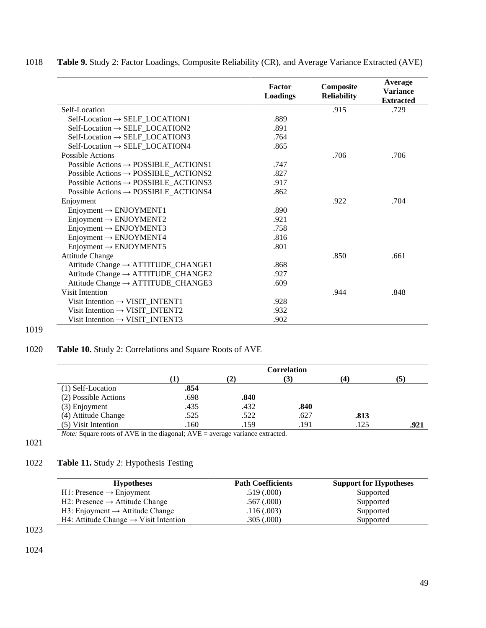|                                                  | Factor<br>Loadings | Composite<br><b>Reliability</b> | Average<br><b>Variance</b><br><b>Extracted</b> |
|--------------------------------------------------|--------------------|---------------------------------|------------------------------------------------|
| Self-Location                                    |                    | .915                            | .729                                           |
| $Self-Location \rightarrow SELF\_LOCALION1$      | .889               |                                 |                                                |
| $Self-Location \rightarrow SELF\_LOCALION2$      | .891               |                                 |                                                |
| $Self-Location \rightarrow SELF\_LOCALTON3$      | .764               |                                 |                                                |
| $Self-Location \rightarrow SELF\_LOCALION4$      | .865               |                                 |                                                |
| Possible Actions                                 |                    | .706                            | .706                                           |
| Possible Actions $\rightarrow$ POSSIBLE_ACTIONS1 | .747               |                                 |                                                |
| Possible Actions $\rightarrow$ POSSIBLE_ACTIONS2 | .827               |                                 |                                                |
| Possible Actions $\rightarrow$ POSSIBLE_ACTIONS3 | .917               |                                 |                                                |
| Possible Actions $\rightarrow$ POSSIBLE_ACTIONS4 | .862               |                                 |                                                |
| Enjoyment                                        |                    | .922                            | .704                                           |
| $Enjoyment \rightarrow ENJOYMENT1$               | .890               |                                 |                                                |
| $Enjoyment \rightarrow ENJOYMENT2$               | .921               |                                 |                                                |
| $Enjoyment \rightarrow ENJOYMENT3$               | .758               |                                 |                                                |
| $Enjoyment \rightarrow ENJOYMENT4$               | .816               |                                 |                                                |
| $Enjoyment \rightarrow ENJOYMENT5$               | .801               |                                 |                                                |
| <b>Attitude Change</b>                           |                    | .850                            | .661                                           |
| Attitude Change → ATTITUDE_CHANGE1               | .868               |                                 |                                                |
| Attitude Change $\rightarrow$ ATTITUDE_CHANGE2   | .927               |                                 |                                                |
| Attitude Change $\rightarrow$ ATTITUDE_CHANGE3   | .609               |                                 |                                                |
| Visit Intention                                  |                    | .944                            | .848                                           |
| Visit Intention $\rightarrow$ VISIT_INTENT1      | .928               |                                 |                                                |
| Visit Intention $\rightarrow$ VISIT_INTENT2      | .932               |                                 |                                                |
| Visit Intention $\rightarrow$ VISIT_INTENT3      | .902               |                                 |                                                |

## 1018 **Table 9.** Study 2: Factor Loadings, Composite Reliability (CR), and Average Variance Extracted (AVE)

# 1020 **Table 10.** Study 2: Correlations and Square Roots of AVE

|                      | <b>Correlation</b> |      |      |                   |      |
|----------------------|--------------------|------|------|-------------------|------|
|                      |                    | (2)  | (3)  | $\left( 4\right)$ | (5)  |
| (1) Self-Location    | .854               |      |      |                   |      |
| (2) Possible Actions | .698               | .840 |      |                   |      |
| (3) Enjoyment        | .435               | .432 | .840 |                   |      |
| (4) Attitude Change  | .525               | .522 | .627 | .813              |      |
| (5) Visit Intention  | .160               | .159 | .191 | .125              | .921 |

*Note:* Square roots of AVE in the diagonal; AVE = average variance extracted.

1021

1019

## 1022 **Table 11.** Study 2: Hypothesis Testing

| <b>Path Coefficients</b> | <b>Support for Hypotheses</b> |
|--------------------------|-------------------------------|
| .519(.000)               | Supported                     |
| $.567 \,(.000)$          | Supported                     |
| .116(.003)               | Supported                     |
| .305(.000)               | Supported                     |
|                          |                               |

1023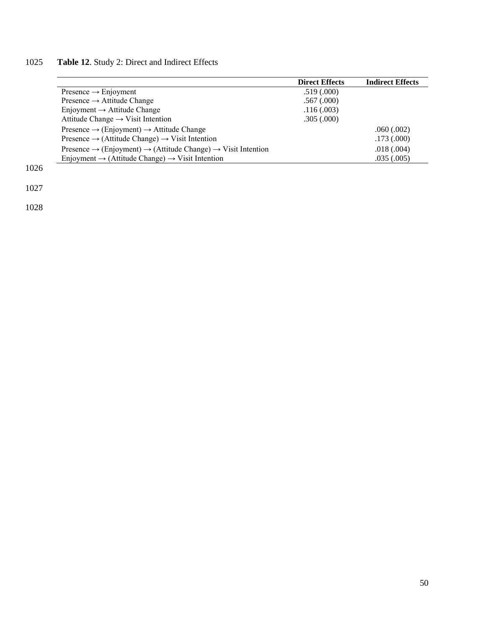# 1025 **Table 12**. Study 2: Direct and Indirect Effects

|                                                                                                  | <b>Direct Effects</b> | <b>Indirect Effects</b> |
|--------------------------------------------------------------------------------------------------|-----------------------|-------------------------|
| Presence $\rightarrow$ Enjoyment                                                                 | .519(.000)            |                         |
| Presence $\rightarrow$ Attitude Change                                                           | .567(.000)            |                         |
| Enjoyment $\rightarrow$ Attitude Change                                                          | .116(.003)            |                         |
| Attitude Change $\rightarrow$ Visit Intention                                                    | .305(.000)            |                         |
| Presence $\rightarrow$ (Enjoyment) $\rightarrow$ Attitude Change                                 |                       | .060(.002)              |
| Presence $\rightarrow$ (Attitude Change) $\rightarrow$ Visit Intention                           |                       | .173(.000)              |
| Presence $\rightarrow$ (Enjoyment) $\rightarrow$ (Attitude Change) $\rightarrow$ Visit Intention |                       | .018(.004)              |
| Enjoyment $\rightarrow$ (Attitude Change) $\rightarrow$ Visit Intention                          |                       | .035(.005)              |

1026

1027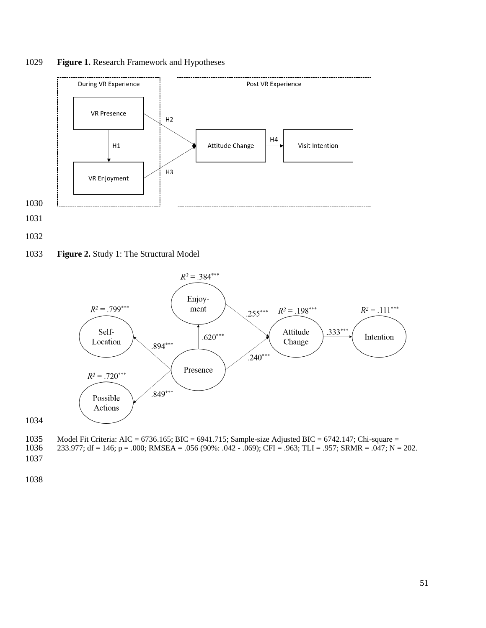







Model Fit Criteria: AIC = 6736.165; BIC = 6941.715; Sample-size Adjusted BIC = 6742.147; Chi-square =

1036 233.977; df = 146; p = .000; RMSEA = .056 (90%: .042 - .069); CFI = .963; TLI = .957; SRMR = .047; N = 202.